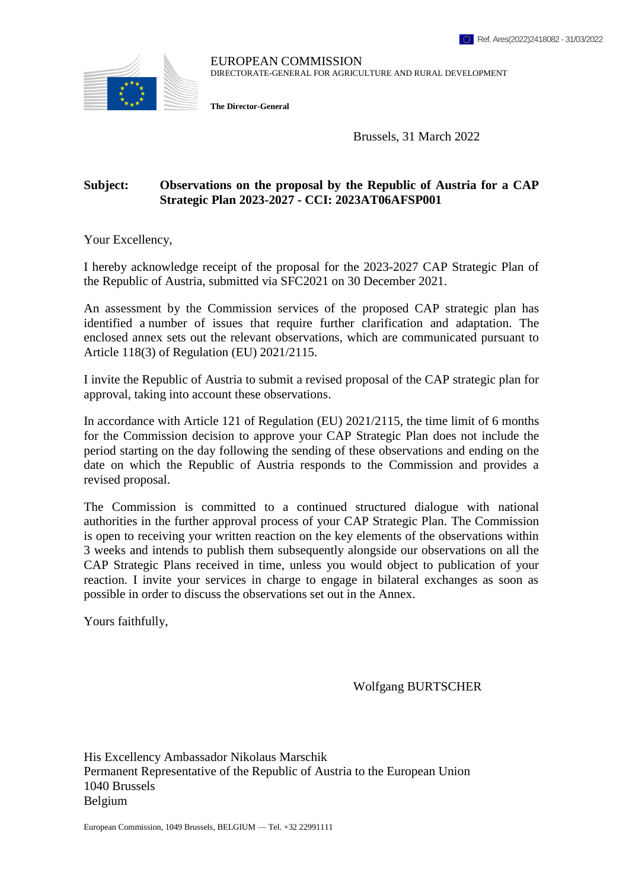

EUROPEAN COMMISSION DIRECTORATE-GENERAL FOR AGRICULTURE AND RURAL DEVELOPMENT

**The Director-General**

Brussels, 31 March 2022

# **Subject: Observations on the proposal by the Republic of Austria for a CAP Strategic Plan 2023-2027 - CCI: 2023AT06AFSP001**

Your Excellency,

I hereby acknowledge receipt of the proposal for the 2023-2027 CAP Strategic Plan of the Republic of Austria, submitted via SFC2021 on 30 December 2021.

An assessment by the Commission services of the proposed CAP strategic plan has identified a number of issues that require further clarification and adaptation. The enclosed annex sets out the relevant observations, which are communicated pursuant to Article 118(3) of Regulation (EU) 2021/2115.

I invite the Republic of Austria to submit a revised proposal of the CAP strategic plan for approval, taking into account these observations.

In accordance with Article 121 of Regulation (EU) 2021/2115, the time limit of 6 months for the Commission decision to approve your CAP Strategic Plan does not include the period starting on the day following the sending of these observations and ending on the date on which the Republic of Austria responds to the Commission and provides a revised proposal.

The Commission is committed to a continued structured dialogue with national authorities in the further approval process of your CAP Strategic Plan. The Commission is open to receiving your written reaction on the key elements of the observations within 3 weeks and intends to publish them subsequently alongside our observations on all the CAP Strategic Plans received in time, unless you would object to publication of your reaction. I invite your services in charge to engage in bilateral exchanges as soon as possible in order to discuss the observations set out in the Annex.

Yours faithfully,

Wolfgang BURTSCHER

His Excellency Ambassador Nikolaus Marschik Permanent Representative of the Republic of Austria to the European Union 1040 Brussels Belgium

European Commission, 1049 Brussels, BELGIUM — Tel. +32 22991111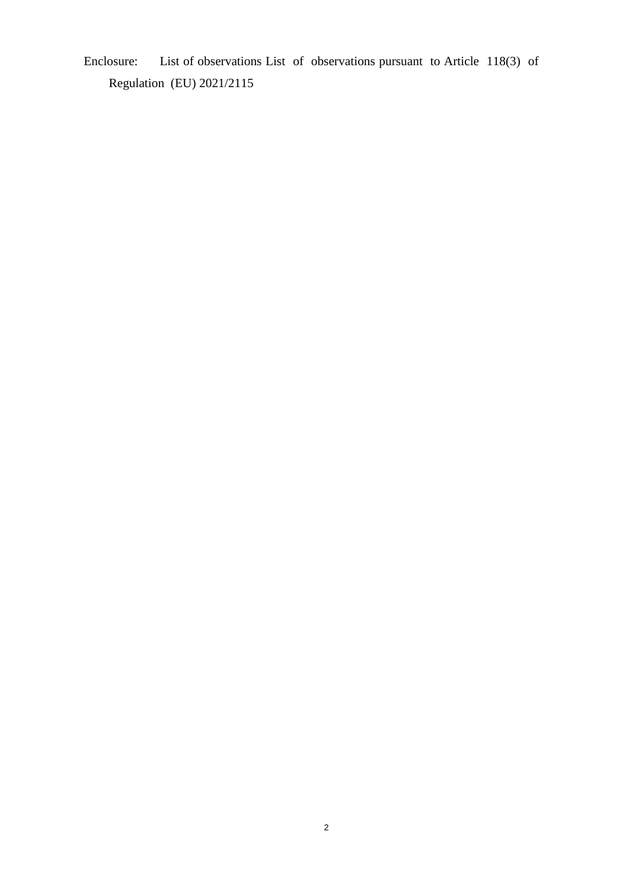Enclosure: List of observations List of observations pursuant to Article 118(3) of Regulation (EU) 2021/2115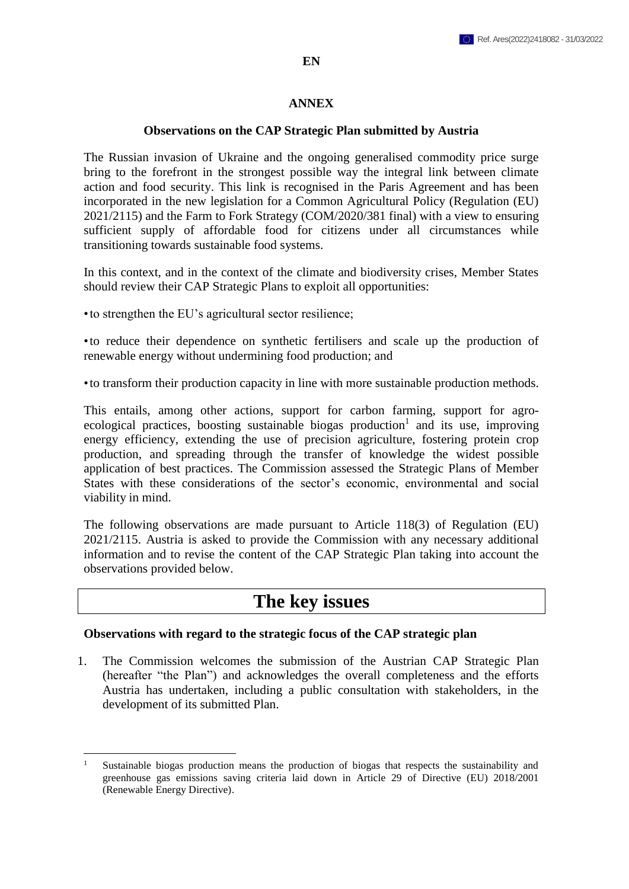#### **EN**

#### **ANNEX**

#### **Observations on the CAP Strategic Plan submitted by Austria**

The Russian invasion of Ukraine and the ongoing generalised commodity price surge bring to the forefront in the strongest possible way the integral link between climate action and food security. This link is recognised in the Paris Agreement and has been incorporated in the new legislation for a Common Agricultural Policy (Regulation (EU) 2021/2115) and the Farm to Fork Strategy (COM/2020/381 final) with a view to ensuring sufficient supply of affordable food for citizens under all circumstances while transitioning towards sustainable food systems.

In this context, and in the context of the climate and biodiversity crises, Member States should review their CAP Strategic Plans to exploit all opportunities:

•to strengthen the EU's agricultural sector resilience;

•to reduce their dependence on synthetic fertilisers and scale up the production of renewable energy without undermining food production; and

•to transform their production capacity in line with more sustainable production methods.

This entails, among other actions, support for carbon farming, support for agroecological practices, boosting sustainable biogas production<sup>1</sup> and its use, improving energy efficiency, extending the use of precision agriculture, fostering protein crop production, and spreading through the transfer of knowledge the widest possible application of best practices. The Commission assessed the Strategic Plans of Member States with these considerations of the sector's economic, environmental and social viability in mind.

The following observations are made pursuant to Article 118(3) of Regulation (EU) 2021/2115. Austria is asked to provide the Commission with any necessary additional information and to revise the content of the CAP Strategic Plan taking into account the observations provided below.

# **The key issues**

#### **Observations with regard to the strategic focus of the CAP strategic plan**

1. The Commission welcomes the submission of the Austrian CAP Strategic Plan (hereafter "the Plan") and acknowledges the overall completeness and the efforts Austria has undertaken, including a public consultation with stakeholders, in the development of its submitted Plan.

 $\overline{a}$ <sup>1</sup> Sustainable biogas production means the production of biogas that respects the sustainability and greenhouse gas emissions saving criteria laid down in Article 29 of Directive (EU) 2018/2001 (Renewable Energy Directive).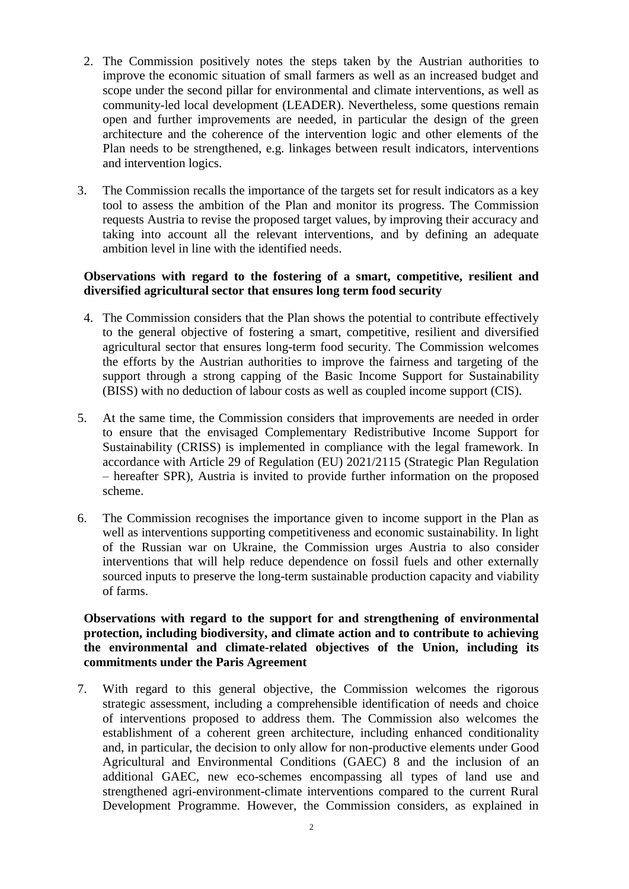- 2. The Commission positively notes the steps taken by the Austrian authorities to improve the economic situation of small farmers as well as an increased budget and scope under the second pillar for environmental and climate interventions, as well as community-led local development (LEADER). Nevertheless, some questions remain open and further improvements are needed, in particular the design of the green architecture and the coherence of the intervention logic and other elements of the Plan needs to be strengthened, e.g. linkages between result indicators, interventions and intervention logics.
- 3. The Commission recalls the importance of the targets set for result indicators as a key tool to assess the ambition of the Plan and monitor its progress. The Commission requests Austria to revise the proposed target values, by improving their accuracy and taking into account all the relevant interventions, and by defining an adequate ambition level in line with the identified needs.

### **Observations with regard to the fostering of a smart, competitive, resilient and diversified agricultural sector that ensures long term food security**

- 4. The Commission considers that the Plan shows the potential to contribute effectively to the general objective of fostering a smart, competitive, resilient and diversified agricultural sector that ensures long-term food security. The Commission welcomes the efforts by the Austrian authorities to improve the fairness and targeting of the support through a strong capping of the Basic Income Support for Sustainability (BISS) with no deduction of labour costs as well as coupled income support (CIS).
- 5. At the same time, the Commission considers that improvements are needed in order to ensure that the envisaged Complementary Redistributive Income Support for Sustainability (CRISS) is implemented in compliance with the legal framework. In accordance with Article 29 of Regulation (EU) 2021/2115 (Strategic Plan Regulation – hereafter SPR), Austria is invited to provide further information on the proposed scheme.
- 6. The Commission recognises the importance given to income support in the Plan as well as interventions supporting competitiveness and economic sustainability. In light of the Russian war on Ukraine, the Commission urges Austria to also consider interventions that will help reduce dependence on fossil fuels and other externally sourced inputs to preserve the long-term sustainable production capacity and viability of farms.

# **Observations with regard to the support for and strengthening of environmental protection, including biodiversity, and climate action and to contribute to achieving the environmental and climate-related objectives of the Union, including its commitments under the Paris Agreement**

7. With regard to this general objective, the Commission welcomes the rigorous strategic assessment, including a comprehensible identification of needs and choice of interventions proposed to address them. The Commission also welcomes the establishment of a coherent green architecture, including enhanced conditionality and, in particular, the decision to only allow for non-productive elements under Good Agricultural and Environmental Conditions (GAEC) 8 and the inclusion of an additional GAEC, new eco-schemes encompassing all types of land use and strengthened agri-environment-climate interventions compared to the current Rural Development Programme. However, the Commission considers, as explained in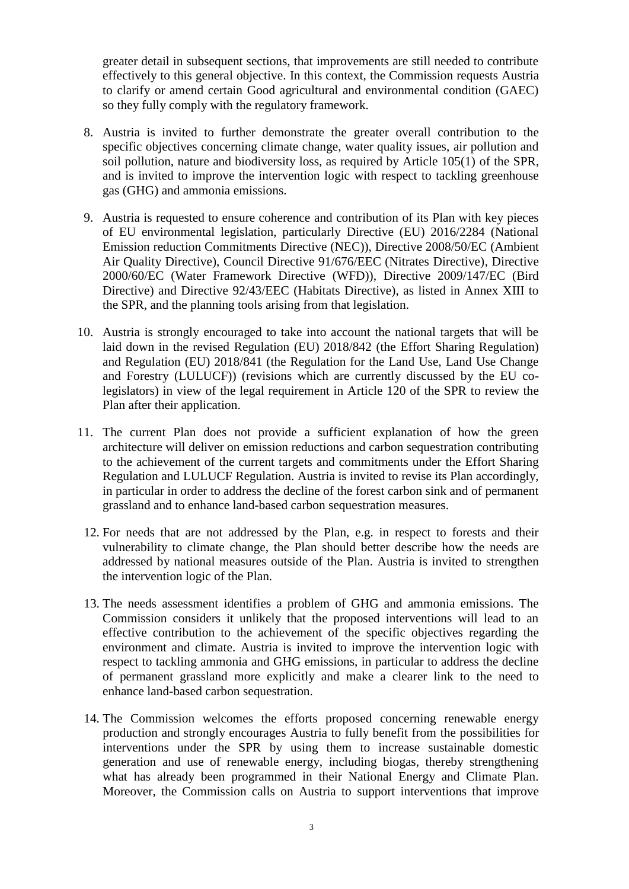greater detail in subsequent sections, that improvements are still needed to contribute effectively to this general objective. In this context, the Commission requests Austria to clarify or amend certain Good agricultural and environmental condition (GAEC) so they fully comply with the regulatory framework.

- 8. Austria is invited to further demonstrate the greater overall contribution to the specific objectives concerning climate change, water quality issues, air pollution and soil pollution, nature and biodiversity loss, as required by Article 105(1) of the SPR, and is invited to improve the intervention logic with respect to tackling greenhouse gas (GHG) and ammonia emissions.
- 9. Austria is requested to ensure coherence and contribution of its Plan with key pieces of EU environmental legislation, particularly Directive (EU) 2016/2284 (National Emission reduction Commitments Directive (NEC)), Directive 2008/50/EC (Ambient Air Quality Directive), Council Directive 91/676/EEC (Nitrates Directive), Directive 2000/60/EC (Water Framework Directive (WFD)), Directive 2009/147/EC (Bird Directive) and Directive 92/43/EEC (Habitats Directive), as listed in Annex XIII to the SPR, and the planning tools arising from that legislation.
- 10. Austria is strongly encouraged to take into account the national targets that will be laid down in the revised Regulation (EU) 2018/842 (the Effort Sharing Regulation) and Regulation (EU) 2018/841 (the Regulation for the Land Use, Land Use Change and Forestry (LULUCF)) (revisions which are currently discussed by the EU colegislators) in view of the legal requirement in Article 120 of the SPR to review the Plan after their application.
- 11. The current Plan does not provide a sufficient explanation of how the green architecture will deliver on emission reductions and carbon sequestration contributing to the achievement of the current targets and commitments under the Effort Sharing Regulation and LULUCF Regulation. Austria is invited to revise its Plan accordingly, in particular in order to address the decline of the forest carbon sink and of permanent grassland and to enhance land-based carbon sequestration measures.
	- 12. For needs that are not addressed by the Plan, e.g. in respect to forests and their vulnerability to climate change, the Plan should better describe how the needs are addressed by national measures outside of the Plan. Austria is invited to strengthen the intervention logic of the Plan.
	- 13. The needs assessment identifies a problem of GHG and ammonia emissions. The Commission considers it unlikely that the proposed interventions will lead to an effective contribution to the achievement of the specific objectives regarding the environment and climate. Austria is invited to improve the intervention logic with respect to tackling ammonia and GHG emissions, in particular to address the decline of permanent grassland more explicitly and make a clearer link to the need to enhance land-based carbon sequestration.
	- 14. The Commission welcomes the efforts proposed concerning renewable energy production and strongly encourages Austria to fully benefit from the possibilities for interventions under the SPR by using them to increase sustainable domestic generation and use of renewable energy, including biogas, thereby strengthening what has already been programmed in their National Energy and Climate Plan. Moreover, the Commission calls on Austria to support interventions that improve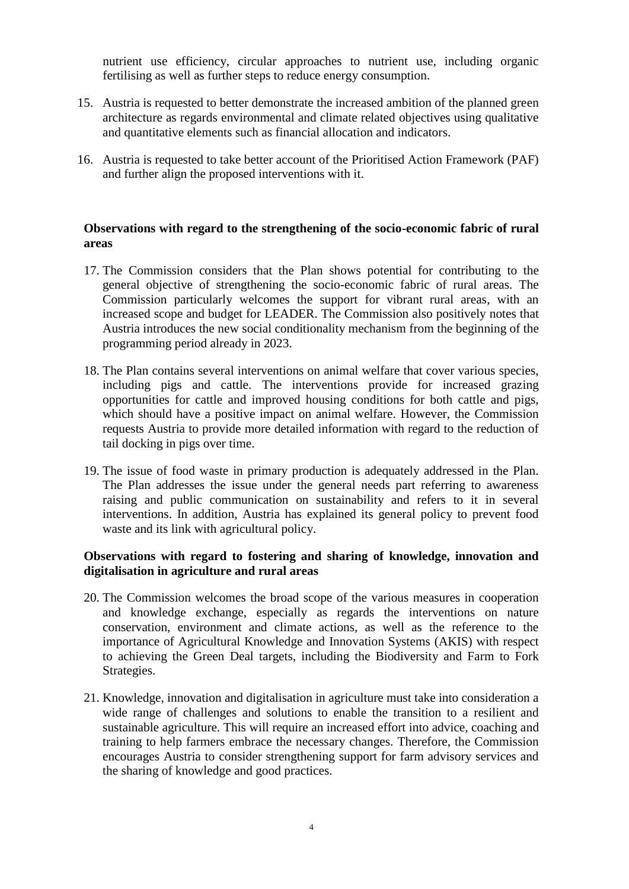nutrient use efficiency, circular approaches to nutrient use, including organic fertilising as well as further steps to reduce energy consumption.

- 15. Austria is requested to better demonstrate the increased ambition of the planned green architecture as regards environmental and climate related objectives using qualitative and quantitative elements such as financial allocation and indicators.
- 16. Austria is requested to take better account of the Prioritised Action Framework (PAF) and further align the proposed interventions with it.

#### **Observations with regard to the strengthening of the socio-economic fabric of rural areas**

- 17. The Commission considers that the Plan shows potential for contributing to the general objective of strengthening the socio-economic fabric of rural areas. The Commission particularly welcomes the support for vibrant rural areas, with an increased scope and budget for LEADER. The Commission also positively notes that Austria introduces the new social conditionality mechanism from the beginning of the programming period already in 2023.
- 18. The Plan contains several interventions on animal welfare that cover various species, including pigs and cattle. The interventions provide for increased grazing opportunities for cattle and improved housing conditions for both cattle and pigs, which should have a positive impact on animal welfare. However, the Commission requests Austria to provide more detailed information with regard to the reduction of tail docking in pigs over time.
- 19. The issue of food waste in primary production is adequately addressed in the Plan. The Plan addresses the issue under the general needs part referring to awareness raising and public communication on sustainability and refers to it in several interventions. In addition, Austria has explained its general policy to prevent food waste and its link with agricultural policy.

#### **Observations with regard to fostering and sharing of knowledge, innovation and digitalisation in agriculture and rural areas**

- 20. The Commission welcomes the broad scope of the various measures in cooperation and knowledge exchange, especially as regards the interventions on nature conservation, environment and climate actions, as well as the reference to the importance of Agricultural Knowledge and Innovation Systems (AKIS) with respect to achieving the Green Deal targets, including the Biodiversity and Farm to Fork Strategies.
- 21. Knowledge, innovation and digitalisation in agriculture must take into consideration a wide range of challenges and solutions to enable the transition to a resilient and sustainable agriculture. This will require an increased effort into advice, coaching and training to help farmers embrace the necessary changes. Therefore, the Commission encourages Austria to consider strengthening support for farm advisory services and the sharing of knowledge and good practices.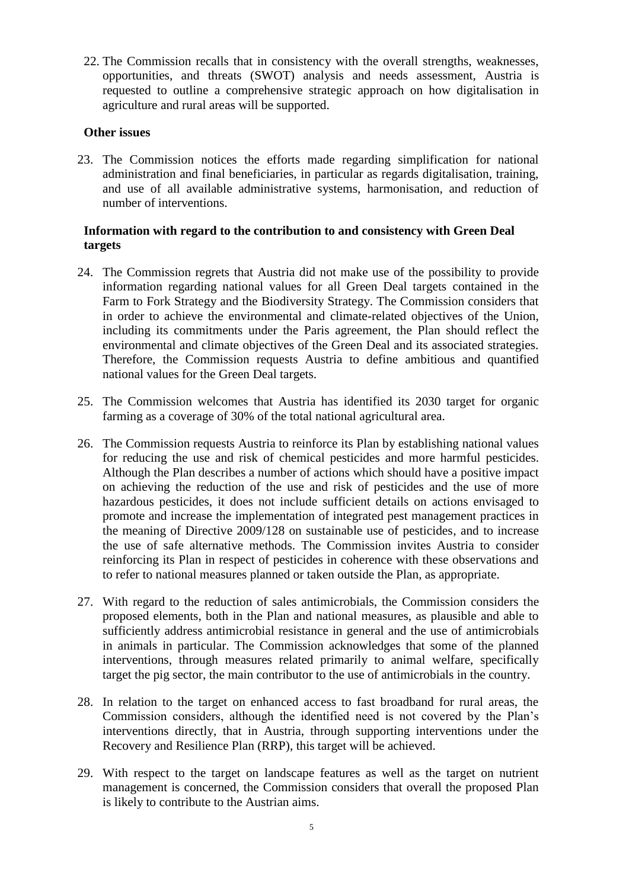22. The Commission recalls that in consistency with the overall strengths, weaknesses, opportunities, and threats (SWOT) analysis and needs assessment, Austria is requested to outline a comprehensive strategic approach on how digitalisation in agriculture and rural areas will be supported.

#### **Other issues**

23. The Commission notices the efforts made regarding simplification for national administration and final beneficiaries, in particular as regards digitalisation, training, and use of all available administrative systems, harmonisation, and reduction of number of interventions.

#### **Information with regard to the contribution to and consistency with Green Deal targets**

- 24. The Commission regrets that Austria did not make use of the possibility to provide information regarding national values for all Green Deal targets contained in the Farm to Fork Strategy and the Biodiversity Strategy. The Commission considers that in order to achieve the environmental and climate-related objectives of the Union, including its commitments under the Paris agreement, the Plan should reflect the environmental and climate objectives of the Green Deal and its associated strategies. Therefore, the Commission requests Austria to define ambitious and quantified national values for the Green Deal targets.
- 25. The Commission welcomes that Austria has identified its 2030 target for organic farming as a coverage of 30% of the total national agricultural area.
- 26. The Commission requests Austria to reinforce its Plan by establishing national values for reducing the use and risk of chemical pesticides and more harmful pesticides. Although the Plan describes a number of actions which should have a positive impact on achieving the reduction of the use and risk of pesticides and the use of more hazardous pesticides, it does not include sufficient details on actions envisaged to promote and increase the implementation of integrated pest management practices in the meaning of Directive 2009/128 on sustainable use of pesticides, and to increase the use of safe alternative methods. The Commission invites Austria to consider reinforcing its Plan in respect of pesticides in coherence with these observations and to refer to national measures planned or taken outside the Plan, as appropriate.
- 27. With regard to the reduction of sales antimicrobials, the Commission considers the proposed elements, both in the Plan and national measures, as plausible and able to sufficiently address antimicrobial resistance in general and the use of antimicrobials in animals in particular. The Commission acknowledges that some of the planned interventions, through measures related primarily to animal welfare, specifically target the pig sector, the main contributor to the use of antimicrobials in the country.
- 28. In relation to the target on enhanced access to fast broadband for rural areas, the Commission considers, although the identified need is not covered by the Plan's interventions directly, that in Austria, through supporting interventions under the Recovery and Resilience Plan (RRP), this target will be achieved.
- 29. With respect to the target on landscape features as well as the target on nutrient management is concerned, the Commission considers that overall the proposed Plan is likely to contribute to the Austrian aims.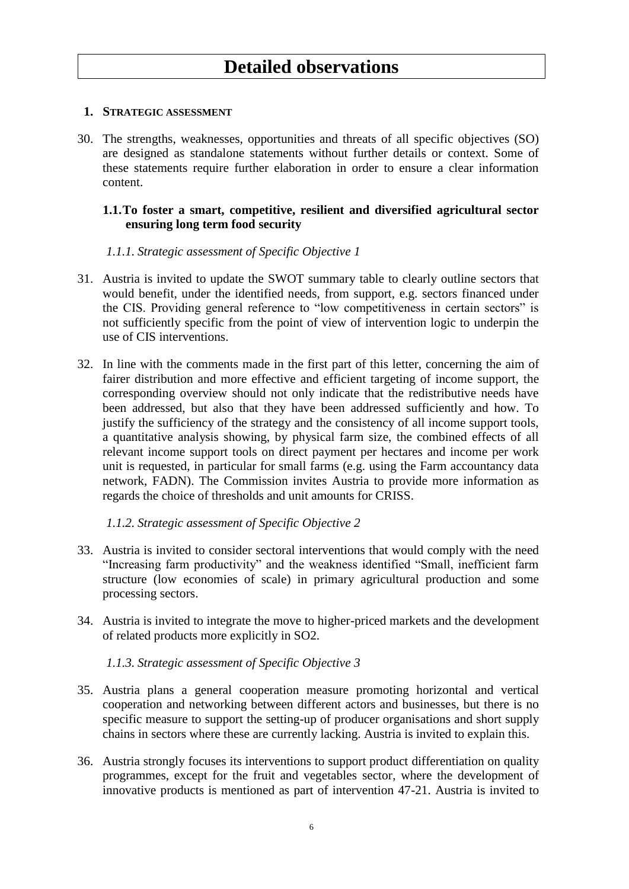# **1. STRATEGIC ASSESSMENT**

30. The strengths, weaknesses, opportunities and threats of all specific objectives (SO) are designed as standalone statements without further details or context. Some of these statements require further elaboration in order to ensure a clear information content.

# **1.1.To foster a smart, competitive, resilient and diversified agricultural sector ensuring long term food security**

# *1.1.1. Strategic assessment of Specific Objective 1*

- 31. Austria is invited to update the SWOT summary table to clearly outline sectors that would benefit, under the identified needs, from support, e.g. sectors financed under the CIS. Providing general reference to "low competitiveness in certain sectors" is not sufficiently specific from the point of view of intervention logic to underpin the use of CIS interventions.
- 32. In line with the comments made in the first part of this letter, concerning the aim of fairer distribution and more effective and efficient targeting of income support, the corresponding overview should not only indicate that the redistributive needs have been addressed, but also that they have been addressed sufficiently and how. To justify the sufficiency of the strategy and the consistency of all income support tools, a quantitative analysis showing, by physical farm size, the combined effects of all relevant income support tools on direct payment per hectares and income per work unit is requested, in particular for small farms (e.g. using the Farm accountancy data network, FADN). The Commission invites Austria to provide more information as regards the choice of thresholds and unit amounts for CRISS.

### *1.1.2. Strategic assessment of Specific Objective 2*

- 33. Austria is invited to consider sectoral interventions that would comply with the need "Increasing farm productivity" and the weakness identified "Small, inefficient farm structure (low economies of scale) in primary agricultural production and some processing sectors.
- 34. Austria is invited to integrate the move to higher-priced markets and the development of related products more explicitly in SO2.

# *1.1.3. Strategic assessment of Specific Objective 3*

- 35. Austria plans a general cooperation measure promoting horizontal and vertical cooperation and networking between different actors and businesses, but there is no specific measure to support the setting-up of producer organisations and short supply chains in sectors where these are currently lacking. Austria is invited to explain this.
- 36. Austria strongly focuses its interventions to support product differentiation on quality programmes, except for the fruit and vegetables sector, where the development of innovative products is mentioned as part of intervention 47-21. Austria is invited to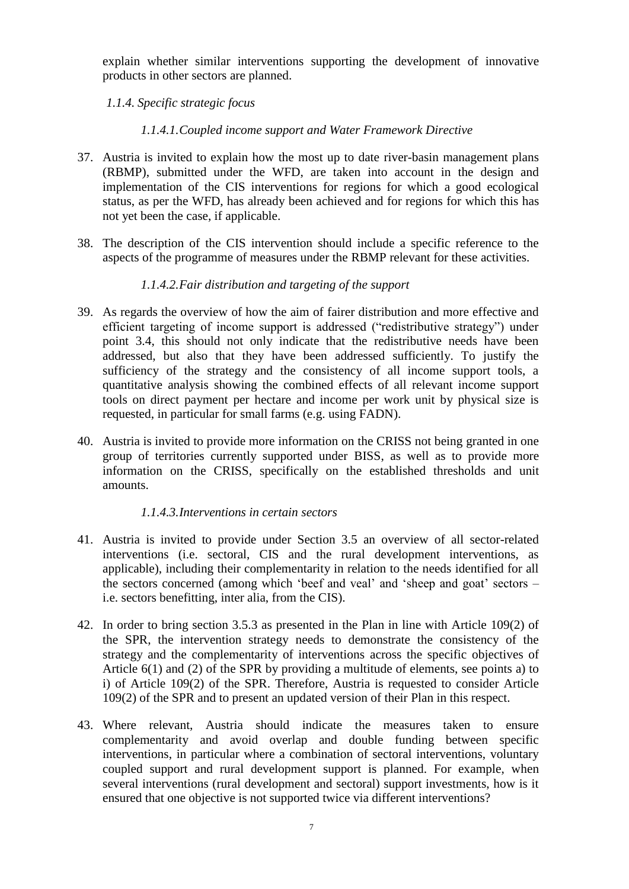explain whether similar interventions supporting the development of innovative products in other sectors are planned.

*1.1.4. Specific strategic focus*

# *1.1.4.1.Coupled income support and Water Framework Directive*

- 37. Austria is invited to explain how the most up to date river-basin management plans (RBMP), submitted under the WFD, are taken into account in the design and implementation of the CIS interventions for regions for which a good ecological status, as per the WFD, has already been achieved and for regions for which this has not yet been the case, if applicable.
- 38. The description of the CIS intervention should include a specific reference to the aspects of the programme of measures under the RBMP relevant for these activities.

# *1.1.4.2.Fair distribution and targeting of the support*

- 39. As regards the overview of how the aim of fairer distribution and more effective and efficient targeting of income support is addressed ("redistributive strategy") under point 3.4, this should not only indicate that the redistributive needs have been addressed, but also that they have been addressed sufficiently. To justify the sufficiency of the strategy and the consistency of all income support tools, a quantitative analysis showing the combined effects of all relevant income support tools on direct payment per hectare and income per work unit by physical size is requested, in particular for small farms (e.g. using FADN).
- 40. Austria is invited to provide more information on the CRISS not being granted in one group of territories currently supported under BISS, as well as to provide more information on the CRISS, specifically on the established thresholds and unit amounts.

# *1.1.4.3.Interventions in certain sectors*

- 41. Austria is invited to provide under Section 3.5 an overview of all sector-related interventions (i.e. sectoral, CIS and the rural development interventions, as applicable), including their complementarity in relation to the needs identified for all the sectors concerned (among which 'beef and veal' and 'sheep and goat' sectors – i.e. sectors benefitting, inter alia, from the CIS).
- 42. In order to bring section 3.5.3 as presented in the Plan in line with Article 109(2) of the SPR, the intervention strategy needs to demonstrate the consistency of the strategy and the complementarity of interventions across the specific objectives of Article 6(1) and (2) of the SPR by providing a multitude of elements, see points a) to i) of Article 109(2) of the SPR. Therefore, Austria is requested to consider Article 109(2) of the SPR and to present an updated version of their Plan in this respect.
- 43. Where relevant, Austria should indicate the measures taken to ensure complementarity and avoid overlap and double funding between specific interventions, in particular where a combination of sectoral interventions, voluntary coupled support and rural development support is planned. For example, when several interventions (rural development and sectoral) support investments, how is it ensured that one objective is not supported twice via different interventions?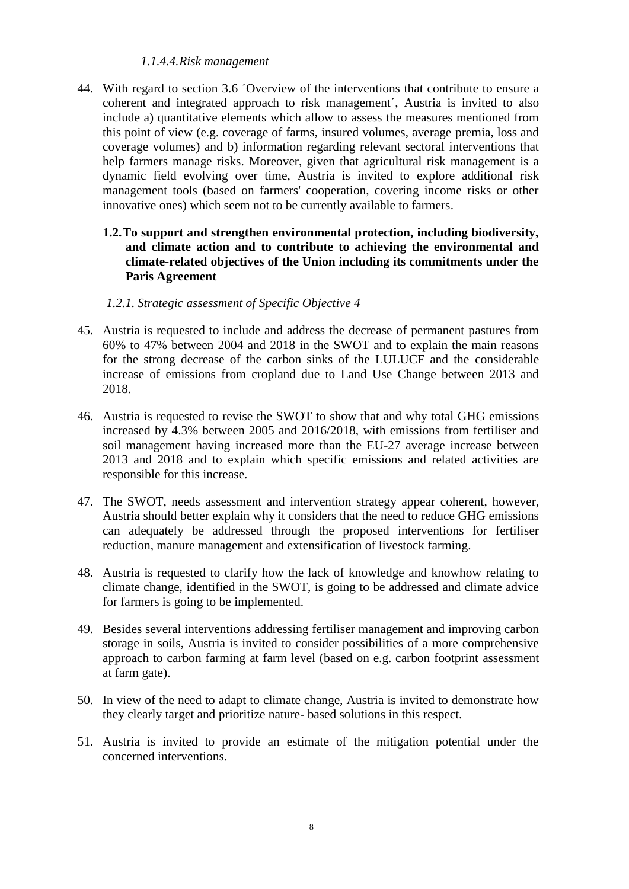# *1.1.4.4.Risk management*

- 44. With regard to section 3.6 ´Overview of the interventions that contribute to ensure a coherent and integrated approach to risk management´, Austria is invited to also include a) quantitative elements which allow to assess the measures mentioned from this point of view (e.g. coverage of farms, insured volumes, average premia, loss and coverage volumes) and b) information regarding relevant sectoral interventions that help farmers manage risks. Moreover, given that agricultural risk management is a dynamic field evolving over time, Austria is invited to explore additional risk management tools (based on farmers' cooperation, covering income risks or other innovative ones) which seem not to be currently available to farmers.
	- **1.2.To support and strengthen environmental protection, including biodiversity, and climate action and to contribute to achieving the environmental and climate-related objectives of the Union including its commitments under the Paris Agreement**

# *1.2.1. Strategic assessment of Specific Objective 4*

- 45. Austria is requested to include and address the decrease of permanent pastures from 60% to 47% between 2004 and 2018 in the SWOT and to explain the main reasons for the strong decrease of the carbon sinks of the LULUCF and the considerable increase of emissions from cropland due to Land Use Change between 2013 and 2018.
- 46. Austria is requested to revise the SWOT to show that and why total GHG emissions increased by 4.3% between 2005 and 2016/2018, with emissions from fertiliser and soil management having increased more than the EU-27 average increase between 2013 and 2018 and to explain which specific emissions and related activities are responsible for this increase.
- 47. The SWOT, needs assessment and intervention strategy appear coherent, however, Austria should better explain why it considers that the need to reduce GHG emissions can adequately be addressed through the proposed interventions for fertiliser reduction, manure management and extensification of livestock farming.
- 48. Austria is requested to clarify how the lack of knowledge and knowhow relating to climate change, identified in the SWOT, is going to be addressed and climate advice for farmers is going to be implemented.
- 49. Besides several interventions addressing fertiliser management and improving carbon storage in soils, Austria is invited to consider possibilities of a more comprehensive approach to carbon farming at farm level (based on e.g. carbon footprint assessment at farm gate).
- 50. In view of the need to adapt to climate change, Austria is invited to demonstrate how they clearly target and prioritize nature- based solutions in this respect.
- 51. Austria is invited to provide an estimate of the mitigation potential under the concerned interventions.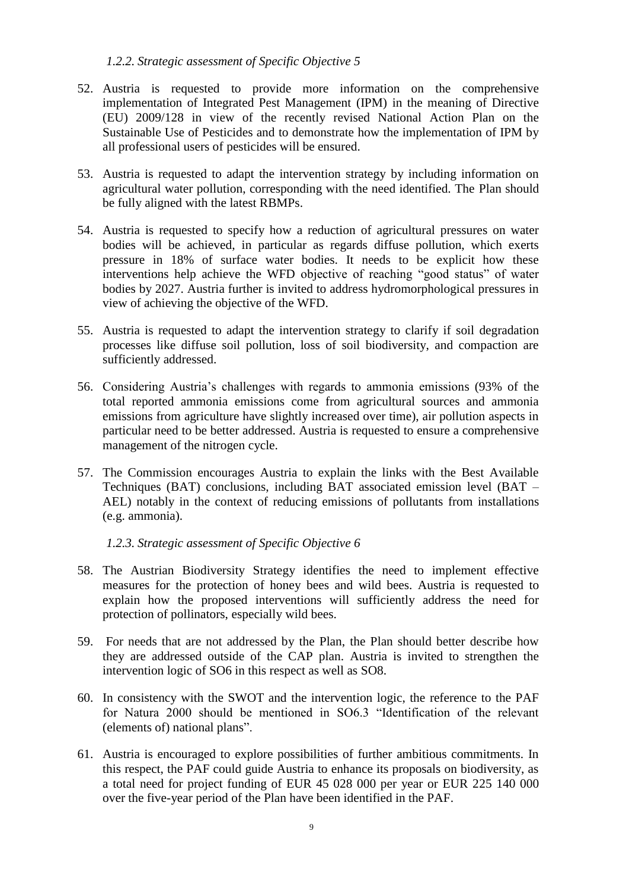# *1.2.2. Strategic assessment of Specific Objective 5*

- 52. Austria is requested to provide more information on the comprehensive implementation of Integrated Pest Management (IPM) in the meaning of Directive (EU) 2009/128 in view of the recently revised National Action Plan on the Sustainable Use of Pesticides and to demonstrate how the implementation of IPM by all professional users of pesticides will be ensured.
- 53. Austria is requested to adapt the intervention strategy by including information on agricultural water pollution, corresponding with the need identified. The Plan should be fully aligned with the latest RBMPs.
- 54. Austria is requested to specify how a reduction of agricultural pressures on water bodies will be achieved, in particular as regards diffuse pollution, which exerts pressure in 18% of surface water bodies. It needs to be explicit how these interventions help achieve the WFD objective of reaching "good status" of water bodies by 2027. Austria further is invited to address hydromorphological pressures in view of achieving the objective of the WFD.
- 55. Austria is requested to adapt the intervention strategy to clarify if soil degradation processes like diffuse soil pollution, loss of soil biodiversity, and compaction are sufficiently addressed.
- 56. Considering Austria's challenges with regards to ammonia emissions (93% of the total reported ammonia emissions come from agricultural sources and ammonia emissions from agriculture have slightly increased over time), air pollution aspects in particular need to be better addressed. Austria is requested to ensure a comprehensive management of the nitrogen cycle.
- 57. The Commission encourages Austria to explain the links with the Best Available Techniques (BAT) conclusions, including BAT associated emission level (BAT – AEL) notably in the context of reducing emissions of pollutants from installations (e.g. ammonia).

*1.2.3. Strategic assessment of Specific Objective 6*

- 58. The Austrian Biodiversity Strategy identifies the need to implement effective measures for the protection of honey bees and wild bees. Austria is requested to explain how the proposed interventions will sufficiently address the need for protection of pollinators, especially wild bees.
- 59. For needs that are not addressed by the Plan, the Plan should better describe how they are addressed outside of the CAP plan. Austria is invited to strengthen the intervention logic of SO6 in this respect as well as SO8.
- 60. In consistency with the SWOT and the intervention logic, the reference to the PAF for Natura 2000 should be mentioned in SO6.3 "Identification of the relevant (elements of) national plans".
- 61. Austria is encouraged to explore possibilities of further ambitious commitments. In this respect, the PAF could guide Austria to enhance its proposals on biodiversity, as a total need for project funding of EUR 45 028 000 per year or EUR 225 140 000 over the five-year period of the Plan have been identified in the PAF.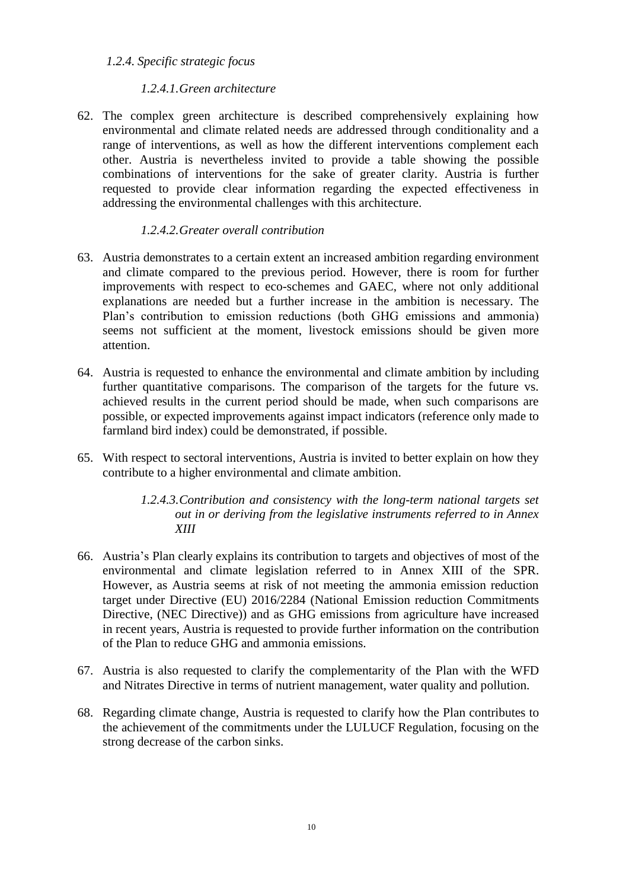# *1.2.4. Specific strategic focus*

# *1.2.4.1.Green architecture*

62. The complex green architecture is described comprehensively explaining how environmental and climate related needs are addressed through conditionality and a range of interventions, as well as how the different interventions complement each other. Austria is nevertheless invited to provide a table showing the possible combinations of interventions for the sake of greater clarity. Austria is further requested to provide clear information regarding the expected effectiveness in addressing the environmental challenges with this architecture.

# *1.2.4.2.Greater overall contribution*

- 63. Austria demonstrates to a certain extent an increased ambition regarding environment and climate compared to the previous period. However, there is room for further improvements with respect to eco-schemes and GAEC, where not only additional explanations are needed but a further increase in the ambition is necessary. The Plan's contribution to emission reductions (both GHG emissions and ammonia) seems not sufficient at the moment, livestock emissions should be given more attention.
- 64. Austria is requested to enhance the environmental and climate ambition by including further quantitative comparisons. The comparison of the targets for the future vs. achieved results in the current period should be made, when such comparisons are possible, or expected improvements against impact indicators (reference only made to farmland bird index) could be demonstrated, if possible.
- 65. With respect to sectoral interventions, Austria is invited to better explain on how they contribute to a higher environmental and climate ambition.
	- *1.2.4.3.Contribution and consistency with the long-term national targets set out in or deriving from the legislative instruments referred to in Annex XIII*
- 66. Austria's Plan clearly explains its contribution to targets and objectives of most of the environmental and climate legislation referred to in Annex XIII of the SPR. However, as Austria seems at risk of not meeting the ammonia emission reduction target under Directive (EU) 2016/2284 (National Emission reduction Commitments Directive, (NEC Directive)) and as GHG emissions from agriculture have increased in recent years, Austria is requested to provide further information on the contribution of the Plan to reduce GHG and ammonia emissions.
- 67. Austria is also requested to clarify the complementarity of the Plan with the WFD and Nitrates Directive in terms of nutrient management, water quality and pollution.
- 68. Regarding climate change, Austria is requested to clarify how the Plan contributes to the achievement of the commitments under the LULUCF Regulation, focusing on the strong decrease of the carbon sinks.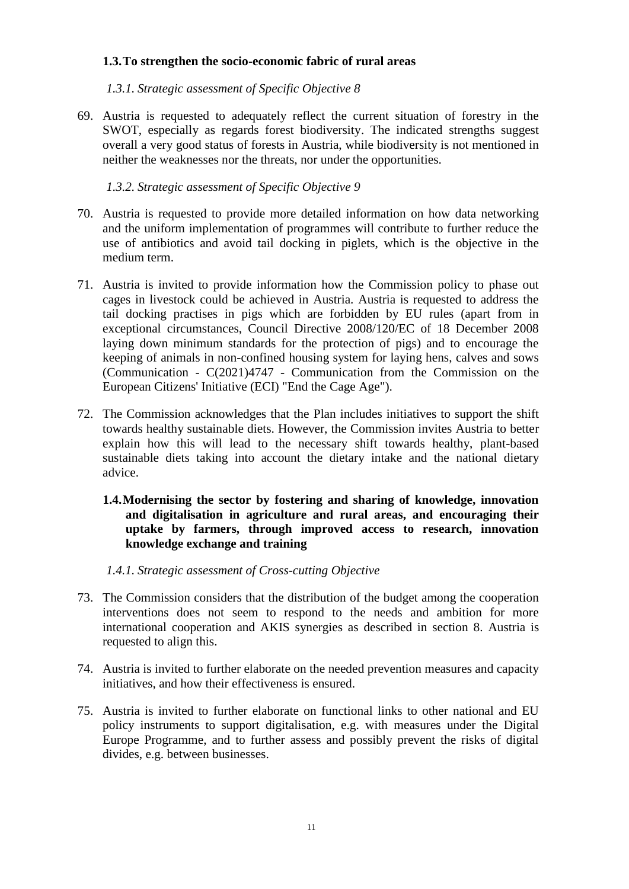# **1.3.To strengthen the socio-economic fabric of rural areas**

*1.3.1. Strategic assessment of Specific Objective 8*

69. Austria is requested to adequately reflect the current situation of forestry in the SWOT, especially as regards forest biodiversity. The indicated strengths suggest overall a very good status of forests in Austria, while biodiversity is not mentioned in neither the weaknesses nor the threats, nor under the opportunities.

*1.3.2. Strategic assessment of Specific Objective 9*

- 70. Austria is requested to provide more detailed information on how data networking and the uniform implementation of programmes will contribute to further reduce the use of antibiotics and avoid tail docking in piglets, which is the objective in the medium term.
- 71. Austria is invited to provide information how the Commission policy to phase out cages in livestock could be achieved in Austria. Austria is requested to address the tail docking practises in pigs which are forbidden by EU rules (apart from in exceptional circumstances, Council Directive 2008/120/EC of 18 December 2008 laying down minimum standards for the protection of pigs) and to encourage the keeping of animals in non-confined housing system for laying hens, calves and sows (Communication - C(2021)4747 - Communication from the Commission on the European Citizens' Initiative (ECI) "End the Cage Age").
- 72. The Commission acknowledges that the Plan includes initiatives to support the shift towards healthy sustainable diets. However, the Commission invites Austria to better explain how this will lead to the necessary shift towards healthy, plant-based sustainable diets taking into account the dietary intake and the national dietary advice.
	- **1.4.Modernising the sector by fostering and sharing of knowledge, innovation and digitalisation in agriculture and rural areas, and encouraging their uptake by farmers, through improved access to research, innovation knowledge exchange and training**

#### *1.4.1. Strategic assessment of Cross-cutting Objective*

- 73. The Commission considers that the distribution of the budget among the cooperation interventions does not seem to respond to the needs and ambition for more international cooperation and AKIS synergies as described in section 8. Austria is requested to align this.
- 74. Austria is invited to further elaborate on the needed prevention measures and capacity initiatives, and how their effectiveness is ensured.
- 75. Austria is invited to further elaborate on functional links to other national and EU policy instruments to support digitalisation, e.g. with measures under the Digital Europe Programme, and to further assess and possibly prevent the risks of digital divides, e.g. between businesses.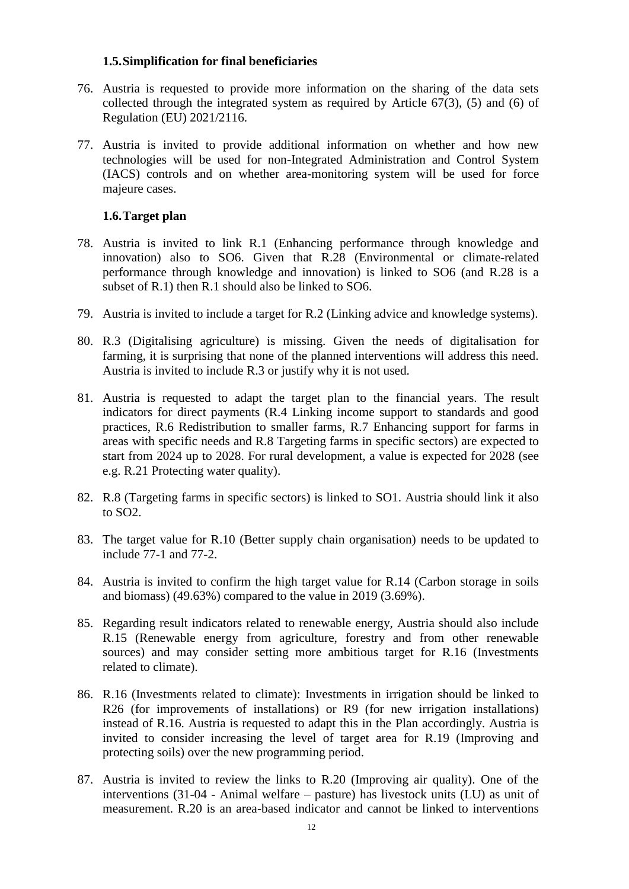### **1.5.Simplification for final beneficiaries**

- 76. Austria is requested to provide more information on the sharing of the data sets collected through the integrated system as required by Article  $67(3)$ , (5) and (6) of Regulation (EU) 2021/2116.
- 77. Austria is invited to provide additional information on whether and how new technologies will be used for non-Integrated Administration and Control System (IACS) controls and on whether area-monitoring system will be used for force majeure cases.

# **1.6.Target plan**

- 78. Austria is invited to link R.1 (Enhancing performance through knowledge and innovation) also to SO6. Given that R.28 (Environmental or climate-related performance through knowledge and innovation) is linked to SO6 (and R.28 is a subset of R.1) then R.1 should also be linked to SO6.
- 79. Austria is invited to include a target for R.2 (Linking advice and knowledge systems).
- 80. R.3 (Digitalising agriculture) is missing. Given the needs of digitalisation for farming, it is surprising that none of the planned interventions will address this need. Austria is invited to include R.3 or justify why it is not used.
- 81. Austria is requested to adapt the target plan to the financial years. The result indicators for direct payments (R.4 Linking income support to standards and good practices, R.6 Redistribution to smaller farms, R.7 Enhancing support for farms in areas with specific needs and R.8 Targeting farms in specific sectors) are expected to start from 2024 up to 2028. For rural development, a value is expected for 2028 (see e.g. R.21 Protecting water quality).
- 82. R.8 (Targeting farms in specific sectors) is linked to SO1. Austria should link it also to SO2.
- 83. The target value for R.10 (Better supply chain organisation) needs to be updated to include 77-1 and 77-2.
- 84. Austria is invited to confirm the high target value for R.14 (Carbon storage in soils and biomass) (49.63%) compared to the value in 2019 (3.69%).
- 85. Regarding result indicators related to renewable energy, Austria should also include R.15 (Renewable energy from agriculture, forestry and from other renewable sources) and may consider setting more ambitious target for R.16 (Investments related to climate).
- 86. R.16 (Investments related to climate): Investments in irrigation should be linked to R26 (for improvements of installations) or R9 (for new irrigation installations) instead of R.16. Austria is requested to adapt this in the Plan accordingly. Austria is invited to consider increasing the level of target area for R.19 (Improving and protecting soils) over the new programming period.
- 87. Austria is invited to review the links to R.20 (Improving air quality). One of the interventions (31-04 - Animal welfare – pasture) has livestock units (LU) as unit of measurement. R.20 is an area-based indicator and cannot be linked to interventions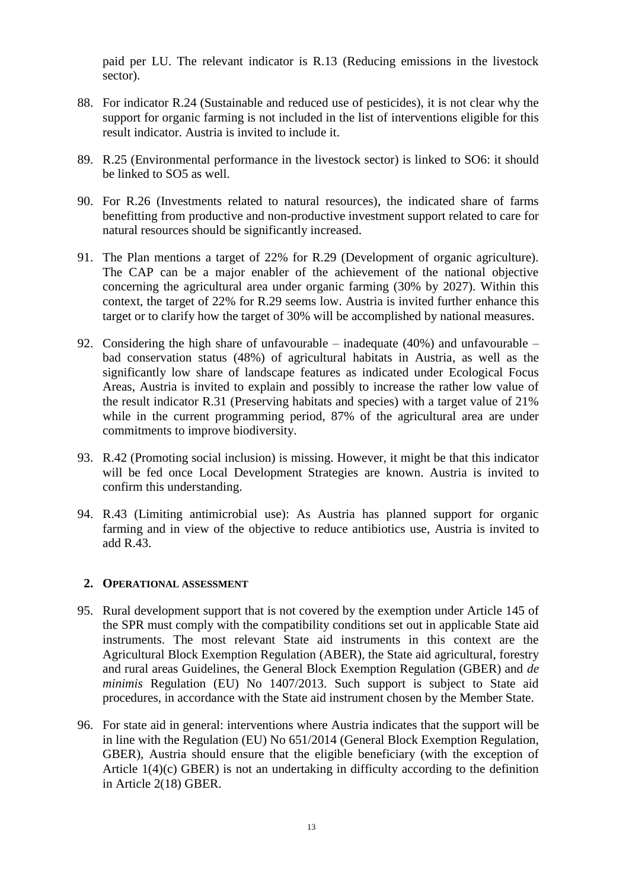paid per LU. The relevant indicator is R.13 (Reducing emissions in the livestock sector).

- 88. For indicator R.24 (Sustainable and reduced use of pesticides), it is not clear why the support for organic farming is not included in the list of interventions eligible for this result indicator. Austria is invited to include it.
- 89. R.25 (Environmental performance in the livestock sector) is linked to SO6: it should be linked to SO5 as well.
- 90. For R.26 (Investments related to natural resources), the indicated share of farms benefitting from productive and non-productive investment support related to care for natural resources should be significantly increased.
- 91. The Plan mentions a target of 22% for R.29 (Development of organic agriculture). The CAP can be a major enabler of the achievement of the national objective concerning the agricultural area under organic farming (30% by 2027). Within this context, the target of 22% for R.29 seems low. Austria is invited further enhance this target or to clarify how the target of 30% will be accomplished by national measures.
- 92. Considering the high share of unfavourable inadequate (40%) and unfavourable bad conservation status (48%) of agricultural habitats in Austria, as well as the significantly low share of landscape features as indicated under Ecological Focus Areas, Austria is invited to explain and possibly to increase the rather low value of the result indicator R.31 (Preserving habitats and species) with a target value of 21% while in the current programming period, 87% of the agricultural area are under commitments to improve biodiversity.
- 93. R.42 (Promoting social inclusion) is missing. However, it might be that this indicator will be fed once Local Development Strategies are known. Austria is invited to confirm this understanding.
- 94. R.43 (Limiting antimicrobial use): As Austria has planned support for organic farming and in view of the objective to reduce antibiotics use, Austria is invited to add R.43.

#### **2. OPERATIONAL ASSESSMENT**

- 95. Rural development support that is not covered by the exemption under Article 145 of the SPR must comply with the compatibility conditions set out in applicable State aid instruments. The most relevant State aid instruments in this context are the Agricultural Block Exemption Regulation (ABER), the State aid agricultural, forestry and rural areas Guidelines, the General Block Exemption Regulation (GBER) and *de minimis* Regulation (EU) No 1407/2013. Such support is subject to State aid procedures, in accordance with the State aid instrument chosen by the Member State.
- 96. For state aid in general: interventions where Austria indicates that the support will be in line with the Regulation (EU) No 651/2014 (General Block Exemption Regulation, GBER), Austria should ensure that the eligible beneficiary (with the exception of Article 1(4)(c) GBER) is not an undertaking in difficulty according to the definition in Article 2(18) GBER.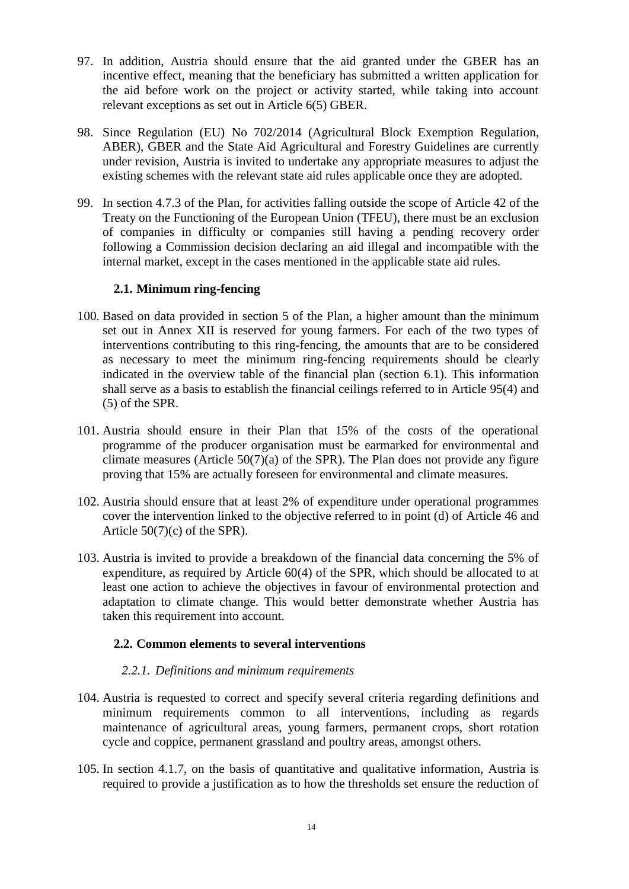- 97. In addition, Austria should ensure that the aid granted under the GBER has an incentive effect, meaning that the beneficiary has submitted a written application for the aid before work on the project or activity started, while taking into account relevant exceptions as set out in Article 6(5) GBER.
- 98. Since Regulation (EU) No 702/2014 (Agricultural Block Exemption Regulation, ABER), GBER and the State Aid Agricultural and Forestry Guidelines are currently under revision, Austria is invited to undertake any appropriate measures to adjust the existing schemes with the relevant state aid rules applicable once they are adopted.
- 99. In section 4.7.3 of the Plan, for activities falling outside the scope of Article 42 of the Treaty on the Functioning of the European Union (TFEU), there must be an exclusion of companies in difficulty or companies still having a pending recovery order following a Commission decision declaring an aid illegal and incompatible with the internal market, except in the cases mentioned in the applicable state aid rules.

# **2.1. Minimum ring-fencing**

- 100. Based on data provided in section 5 of the Plan, a higher amount than the minimum set out in Annex XII is reserved for young farmers. For each of the two types of interventions contributing to this ring-fencing, the amounts that are to be considered as necessary to meet the minimum ring-fencing requirements should be clearly indicated in the overview table of the financial plan (section 6.1). This information shall serve as a basis to establish the financial ceilings referred to in Article 95(4) and (5) of the SPR.
- 101. Austria should ensure in their Plan that 15% of the costs of the operational programme of the producer organisation must be earmarked for environmental and climate measures (Article  $50(7)(a)$  of the SPR). The Plan does not provide any figure proving that 15% are actually foreseen for environmental and climate measures.
- 102. Austria should ensure that at least 2% of expenditure under operational programmes cover the intervention linked to the objective referred to in point (d) of Article 46 and Article 50(7)(c) of the SPR).
- 103. Austria is invited to provide a breakdown of the financial data concerning the 5% of expenditure, as required by Article 60(4) of the SPR, which should be allocated to at least one action to achieve the objectives in favour of environmental protection and adaptation to climate change. This would better demonstrate whether Austria has taken this requirement into account.

#### **2.2. Common elements to several interventions**

#### *2.2.1. Definitions and minimum requirements*

- 104. Austria is requested to correct and specify several criteria regarding definitions and minimum requirements common to all interventions, including as regards maintenance of agricultural areas, young farmers, permanent crops, short rotation cycle and coppice, permanent grassland and poultry areas, amongst others.
- 105. In section 4.1.7, on the basis of quantitative and qualitative information, Austria is required to provide a justification as to how the thresholds set ensure the reduction of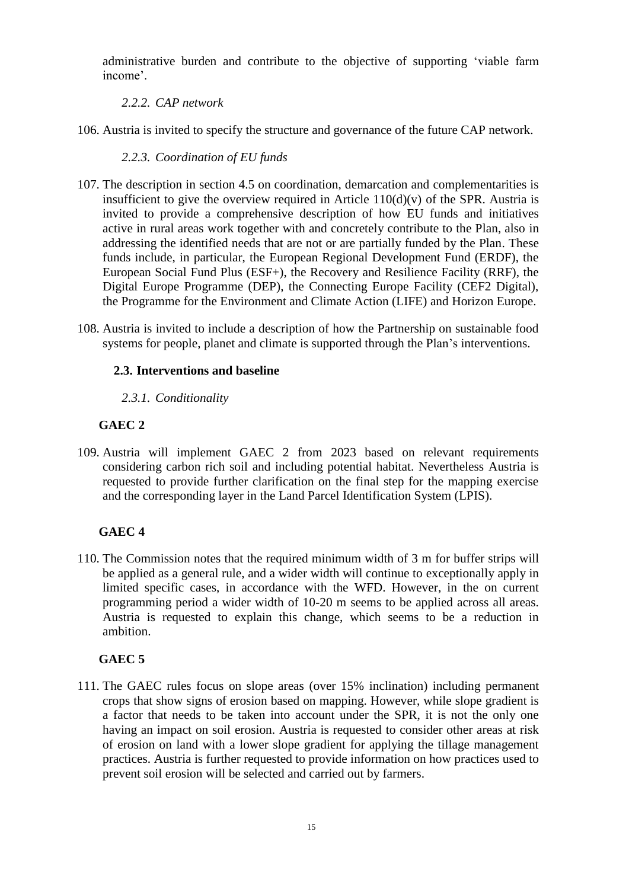administrative burden and contribute to the objective of supporting 'viable farm income'.

*2.2.2. CAP network*

106. Austria is invited to specify the structure and governance of the future CAP network.

*2.2.3. Coordination of EU funds*

- 107. The description in section 4.5 on coordination, demarcation and complementarities is insufficient to give the overview required in Article  $110(d)(v)$  of the SPR. Austria is invited to provide a comprehensive description of how EU funds and initiatives active in rural areas work together with and concretely contribute to the Plan, also in addressing the identified needs that are not or are partially funded by the Plan. These funds include, in particular, the European Regional Development Fund (ERDF), the European Social Fund Plus (ESF+), the Recovery and Resilience Facility (RRF), the Digital Europe Programme (DEP), the Connecting Europe Facility (CEF2 Digital), the Programme for the Environment and Climate Action (LIFE) and Horizon Europe.
- 108. Austria is invited to include a description of how the Partnership on sustainable food systems for people, planet and climate is supported through the Plan's interventions.

# **2.3. Interventions and baseline**

*2.3.1. Conditionality* 

# **GAEC 2**

109. Austria will implement GAEC 2 from 2023 based on relevant requirements considering carbon rich soil and including potential habitat. Nevertheless Austria is requested to provide further clarification on the final step for the mapping exercise and the corresponding layer in the Land Parcel Identification System (LPIS).

# **GAEC 4**

110. The Commission notes that the required minimum width of 3 m for buffer strips will be applied as a general rule, and a wider width will continue to exceptionally apply in limited specific cases, in accordance with the WFD. However, in the on current programming period a wider width of 10-20 m seems to be applied across all areas. Austria is requested to explain this change, which seems to be a reduction in ambition.

# **GAEC 5**

111. The GAEC rules focus on slope areas (over 15% inclination) including permanent crops that show signs of erosion based on mapping. However, while slope gradient is a factor that needs to be taken into account under the SPR, it is not the only one having an impact on soil erosion. Austria is requested to consider other areas at risk of erosion on land with a lower slope gradient for applying the tillage management practices. Austria is further requested to provide information on how practices used to prevent soil erosion will be selected and carried out by farmers.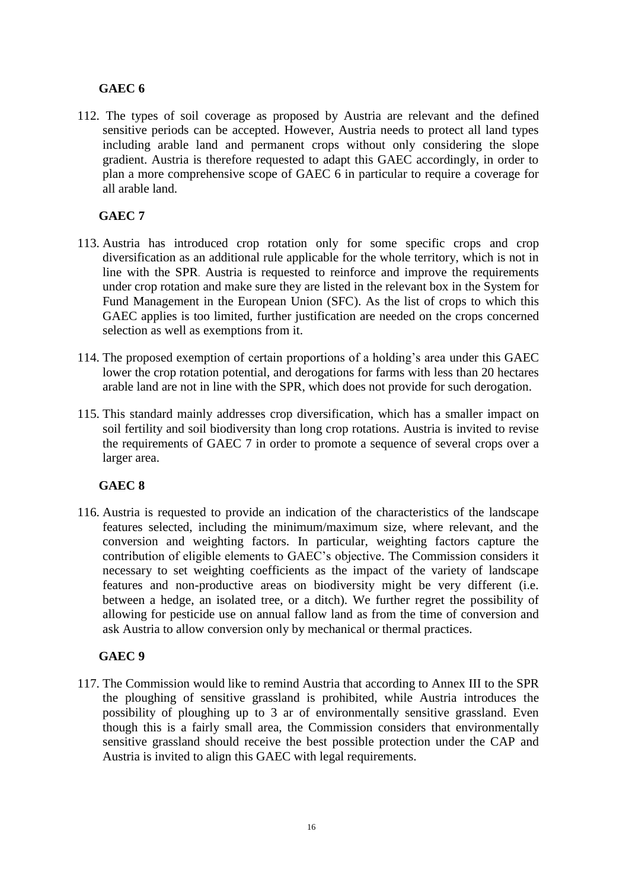# **GAEC 6**

112. The types of soil coverage as proposed by Austria are relevant and the defined sensitive periods can be accepted. However, Austria needs to protect all land types including arable land and permanent crops without only considering the slope gradient. Austria is therefore requested to adapt this GAEC accordingly, in order to plan a more comprehensive scope of GAEC 6 in particular to require a coverage for all arable land.

# **GAEC 7**

- 113. Austria has introduced crop rotation only for some specific crops and crop diversification as an additional rule applicable for the whole territory, which is not in line with the SPR. Austria is requested to reinforce and improve the requirements under crop rotation and make sure they are listed in the relevant box in the System for Fund Management in the European Union (SFC). As the list of crops to which this GAEC applies is too limited, further justification are needed on the crops concerned selection as well as exemptions from it.
- 114. The proposed exemption of certain proportions of a holding's area under this GAEC lower the crop rotation potential, and derogations for farms with less than 20 hectares arable land are not in line with the SPR, which does not provide for such derogation.
- 115. This standard mainly addresses crop diversification, which has a smaller impact on soil fertility and soil biodiversity than long crop rotations. Austria is invited to revise the requirements of GAEC 7 in order to promote a sequence of several crops over a larger area.

# **GAEC 8**

116. Austria is requested to provide an indication of the characteristics of the landscape features selected, including the minimum/maximum size, where relevant, and the conversion and weighting factors. In particular, weighting factors capture the contribution of eligible elements to GAEC's objective. The Commission considers it necessary to set weighting coefficients as the impact of the variety of landscape features and non-productive areas on biodiversity might be very different (i.e. between a hedge, an isolated tree, or a ditch). We further regret the possibility of allowing for pesticide use on annual fallow land as from the time of conversion and ask Austria to allow conversion only by mechanical or thermal practices.

# **GAEC 9**

117. The Commission would like to remind Austria that according to Annex III to the SPR the ploughing of sensitive grassland is prohibited, while Austria introduces the possibility of ploughing up to 3 ar of environmentally sensitive grassland. Even though this is a fairly small area, the Commission considers that environmentally sensitive grassland should receive the best possible protection under the CAP and Austria is invited to align this GAEC with legal requirements.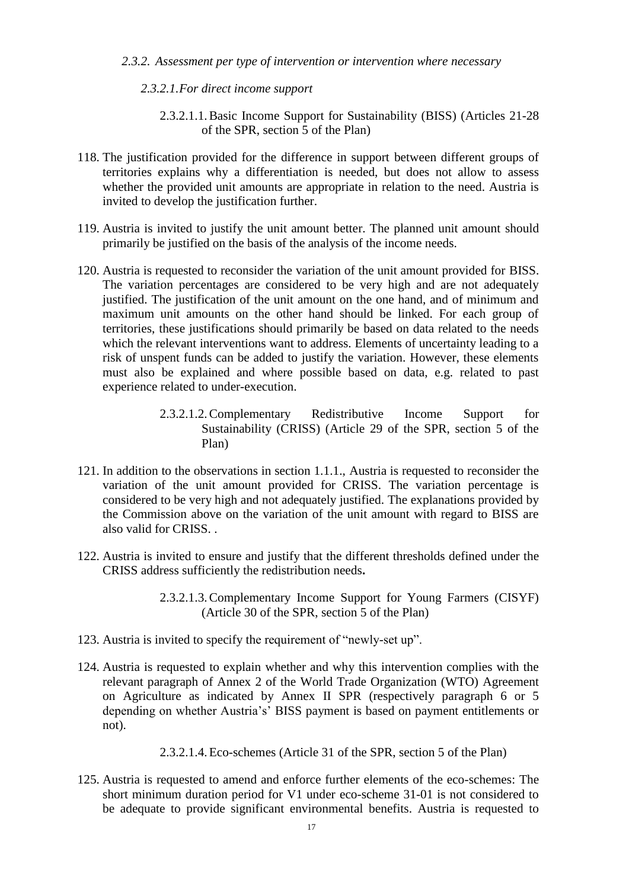#### *2.3.2. Assessment per type of intervention or intervention where necessary*

#### *2.3.2.1.For direct income support*

- 2.3.2.1.1.Basic Income Support for Sustainability (BISS) (Articles 21-28 of the SPR, section 5 of the Plan)
- 118. The justification provided for the difference in support between different groups of territories explains why a differentiation is needed, but does not allow to assess whether the provided unit amounts are appropriate in relation to the need. Austria is invited to develop the justification further.
- 119. Austria is invited to justify the unit amount better. The planned unit amount should primarily be justified on the basis of the analysis of the income needs.
- 120. Austria is requested to reconsider the variation of the unit amount provided for BISS. The variation percentages are considered to be very high and are not adequately justified. The justification of the unit amount on the one hand, and of minimum and maximum unit amounts on the other hand should be linked. For each group of territories, these justifications should primarily be based on data related to the needs which the relevant interventions want to address. Elements of uncertainty leading to a risk of unspent funds can be added to justify the variation. However, these elements must also be explained and where possible based on data, e.g. related to past experience related to under-execution.
	- 2.3.2.1.2.Complementary Redistributive Income Support for Sustainability (CRISS) (Article 29 of the SPR, section 5 of the Plan)
- 121. In addition to the observations in section 1.1.1., Austria is requested to reconsider the variation of the unit amount provided for CRISS. The variation percentage is considered to be very high and not adequately justified. The explanations provided by the Commission above on the variation of the unit amount with regard to BISS are also valid for CRISS. .
- 122. Austria is invited to ensure and justify that the different thresholds defined under the CRISS address sufficiently the redistribution needs**.**
	- 2.3.2.1.3.Complementary Income Support for Young Farmers (CISYF) (Article 30 of the SPR, section 5 of the Plan)
- 123. Austria is invited to specify the requirement of "newly-set up".
- 124. Austria is requested to explain whether and why this intervention complies with the relevant paragraph of Annex 2 of the World Trade Organization (WTO) Agreement on Agriculture as indicated by Annex II SPR (respectively paragraph 6 or 5 depending on whether Austria's' BISS payment is based on payment entitlements or not).
	- 2.3.2.1.4.Eco-schemes (Article 31 of the SPR, section 5 of the Plan)
- 125. Austria is requested to amend and enforce further elements of the eco-schemes: The short minimum duration period for V1 under eco-scheme 31-01 is not considered to be adequate to provide significant environmental benefits. Austria is requested to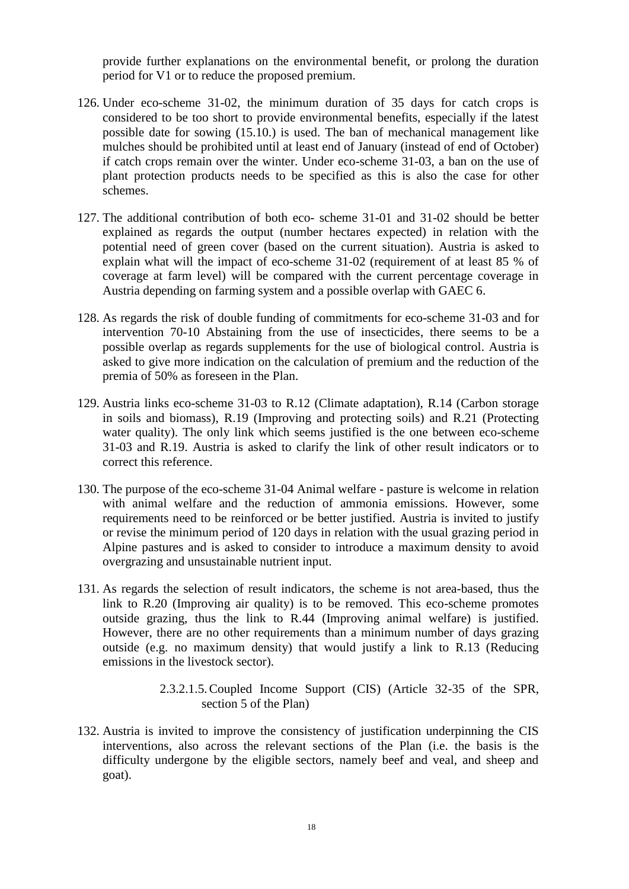provide further explanations on the environmental benefit, or prolong the duration period for V1 or to reduce the proposed premium.

- 126. Under eco-scheme 31-02, the minimum duration of 35 days for catch crops is considered to be too short to provide environmental benefits, especially if the latest possible date for sowing (15.10.) is used. The ban of mechanical management like mulches should be prohibited until at least end of January (instead of end of October) if catch crops remain over the winter. Under eco-scheme 31-03, a ban on the use of plant protection products needs to be specified as this is also the case for other schemes.
- 127. The additional contribution of both eco- scheme 31-01 and 31-02 should be better explained as regards the output (number hectares expected) in relation with the potential need of green cover (based on the current situation). Austria is asked to explain what will the impact of eco-scheme 31-02 (requirement of at least 85 % of coverage at farm level) will be compared with the current percentage coverage in Austria depending on farming system and a possible overlap with GAEC 6.
- 128. As regards the risk of double funding of commitments for eco-scheme 31-03 and for intervention 70-10 Abstaining from the use of insecticides, there seems to be a possible overlap as regards supplements for the use of biological control. Austria is asked to give more indication on the calculation of premium and the reduction of the premia of 50% as foreseen in the Plan.
- 129. Austria links eco-scheme 31-03 to R.12 (Climate adaptation), R.14 (Carbon storage in soils and biomass), R.19 (Improving and protecting soils) and R.21 (Protecting water quality). The only link which seems justified is the one between eco-scheme 31-03 and R.19. Austria is asked to clarify the link of other result indicators or to correct this reference.
- 130. The purpose of the eco-scheme 31-04 Animal welfare pasture is welcome in relation with animal welfare and the reduction of ammonia emissions. However, some requirements need to be reinforced or be better justified. Austria is invited to justify or revise the minimum period of 120 days in relation with the usual grazing period in Alpine pastures and is asked to consider to introduce a maximum density to avoid overgrazing and unsustainable nutrient input.
- 131. As regards the selection of result indicators, the scheme is not area-based, thus the link to R.20 (Improving air quality) is to be removed. This eco-scheme promotes outside grazing, thus the link to R.44 (Improving animal welfare) is justified. However, there are no other requirements than a minimum number of days grazing outside (e.g. no maximum density) that would justify a link to R.13 (Reducing emissions in the livestock sector).
	- 2.3.2.1.5.Coupled Income Support (CIS) (Article 32-35 of the SPR, section 5 of the Plan)
- 132. Austria is invited to improve the consistency of justification underpinning the CIS interventions, also across the relevant sections of the Plan (i.e. the basis is the difficulty undergone by the eligible sectors, namely beef and veal, and sheep and goat).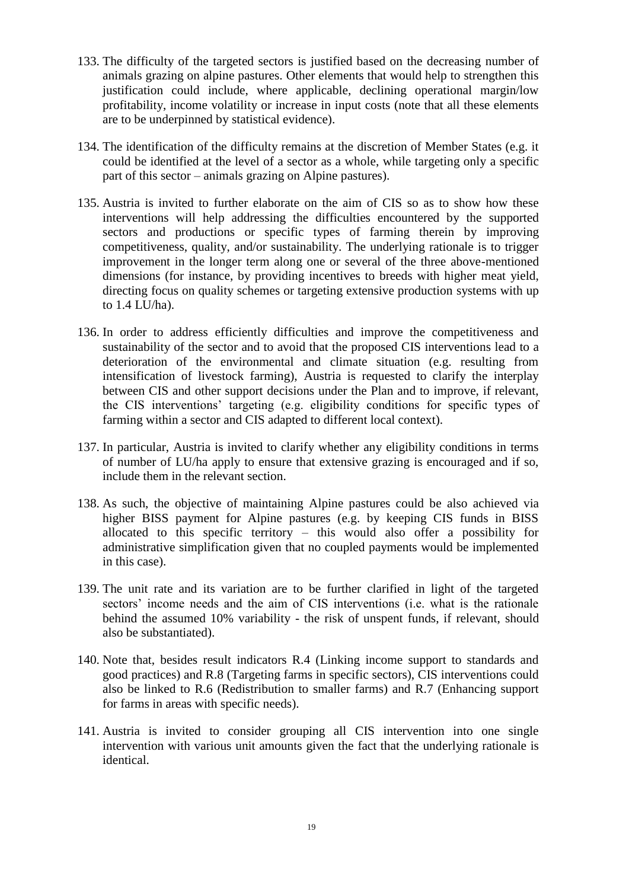- 133. The difficulty of the targeted sectors is justified based on the decreasing number of animals grazing on alpine pastures. Other elements that would help to strengthen this justification could include, where applicable, declining operational margin/low profitability, income volatility or increase in input costs (note that all these elements are to be underpinned by statistical evidence).
- 134. The identification of the difficulty remains at the discretion of Member States (e.g. it could be identified at the level of a sector as a whole, while targeting only a specific part of this sector – animals grazing on Alpine pastures).
- 135. Austria is invited to further elaborate on the aim of CIS so as to show how these interventions will help addressing the difficulties encountered by the supported sectors and productions or specific types of farming therein by improving competitiveness, quality, and/or sustainability. The underlying rationale is to trigger improvement in the longer term along one or several of the three above-mentioned dimensions (for instance, by providing incentives to breeds with higher meat yield, directing focus on quality schemes or targeting extensive production systems with up to 1.4 LU/ha).
- 136. In order to address efficiently difficulties and improve the competitiveness and sustainability of the sector and to avoid that the proposed CIS interventions lead to a deterioration of the environmental and climate situation (e.g. resulting from intensification of livestock farming), Austria is requested to clarify the interplay between CIS and other support decisions under the Plan and to improve, if relevant, the CIS interventions' targeting (e.g. eligibility conditions for specific types of farming within a sector and CIS adapted to different local context).
- 137. In particular, Austria is invited to clarify whether any eligibility conditions in terms of number of LU/ha apply to ensure that extensive grazing is encouraged and if so, include them in the relevant section.
- 138. As such, the objective of maintaining Alpine pastures could be also achieved via higher BISS payment for Alpine pastures (e.g. by keeping CIS funds in BISS allocated to this specific territory – this would also offer a possibility for administrative simplification given that no coupled payments would be implemented in this case).
- 139. The unit rate and its variation are to be further clarified in light of the targeted sectors' income needs and the aim of CIS interventions (i.e. what is the rationale behind the assumed 10% variability - the risk of unspent funds, if relevant, should also be substantiated).
- 140. Note that, besides result indicators R.4 (Linking income support to standards and good practices) and R.8 (Targeting farms in specific sectors), CIS interventions could also be linked to R.6 (Redistribution to smaller farms) and R.7 (Enhancing support for farms in areas with specific needs).
- 141. Austria is invited to consider grouping all CIS intervention into one single intervention with various unit amounts given the fact that the underlying rationale is identical.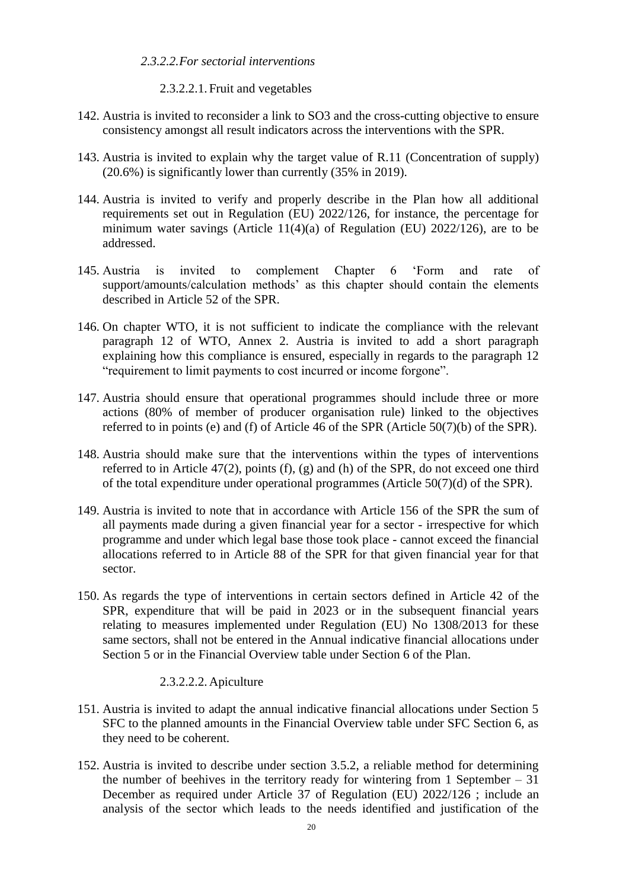#### *2.3.2.2.For sectorial interventions*

2.3.2.2.1. Fruit and vegetables

- 142. Austria is invited to reconsider a link to SO3 and the cross-cutting objective to ensure consistency amongst all result indicators across the interventions with the SPR.
- 143. Austria is invited to explain why the target value of R.11 (Concentration of supply) (20.6%) is significantly lower than currently (35% in 2019).
- 144. Austria is invited to verify and properly describe in the Plan how all additional requirements set out in Regulation (EU) 2022/126, for instance, the percentage for minimum water savings (Article 11(4)(a) of Regulation (EU) 2022/126), are to be addressed.
- 145. Austria is invited to complement Chapter 6 'Form and rate of support/amounts/calculation methods' as this chapter should contain the elements described in Article 52 of the SPR.
- 146. On chapter WTO, it is not sufficient to indicate the compliance with the relevant paragraph 12 of WTO, Annex 2. Austria is invited to add a short paragraph explaining how this compliance is ensured, especially in regards to the paragraph 12 "requirement to limit payments to cost incurred or income forgone".
- 147. Austria should ensure that operational programmes should include three or more actions (80% of member of producer organisation rule) linked to the objectives referred to in points (e) and (f) of Article 46 of the SPR (Article 50(7)(b) of the SPR).
- 148. Austria should make sure that the interventions within the types of interventions referred to in Article  $47(2)$ , points  $(f)$ ,  $(g)$  and  $(h)$  of the SPR, do not exceed one third of the total expenditure under operational programmes (Article 50(7)(d) of the SPR).
- 149. Austria is invited to note that in accordance with Article 156 of the SPR the sum of all payments made during a given financial year for a sector - irrespective for which programme and under which legal base those took place - cannot exceed the financial allocations referred to in Article 88 of the SPR for that given financial year for that sector.
- 150. As regards the type of interventions in certain sectors defined in Article 42 of the SPR, expenditure that will be paid in 2023 or in the subsequent financial years relating to measures implemented under Regulation (EU) No 1308/2013 for these same sectors, shall not be entered in the Annual indicative financial allocations under Section 5 or in the Financial Overview table under Section 6 of the Plan.

#### 2.3.2.2.2.Apiculture

- 151. Austria is invited to adapt the annual indicative financial allocations under Section 5 SFC to the planned amounts in the Financial Overview table under SFC Section 6, as they need to be coherent.
- 152. Austria is invited to describe under section 3.5.2, a reliable method for determining the number of beehives in the territory ready for wintering from 1 September  $-31$ December as required under Article 37 of Regulation (EU) 2022/126 ; include an analysis of the sector which leads to the needs identified and justification of the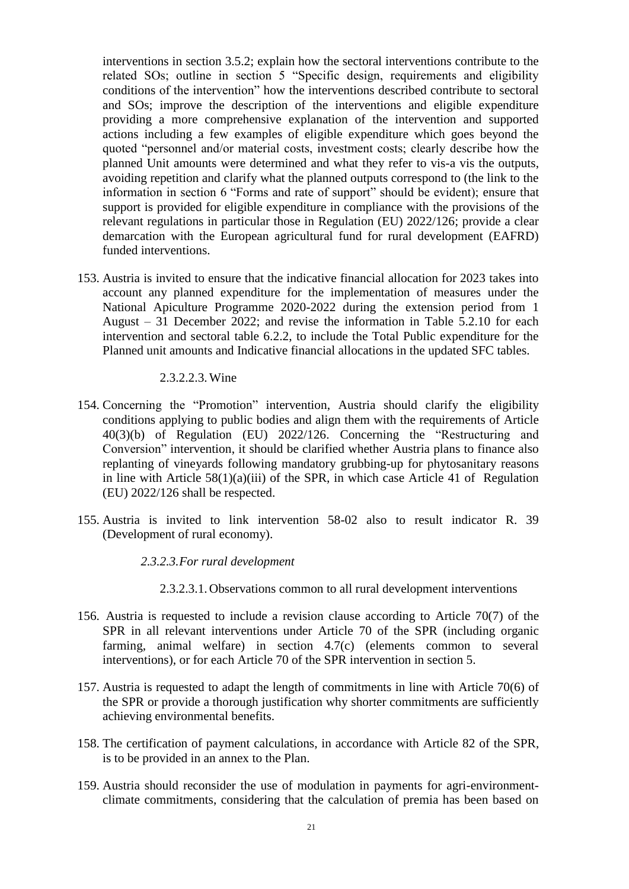interventions in section 3.5.2; explain how the sectoral interventions contribute to the related SOs; outline in section 5 "Specific design, requirements and eligibility conditions of the intervention" how the interventions described contribute to sectoral and SOs; improve the description of the interventions and eligible expenditure providing a more comprehensive explanation of the intervention and supported actions including a few examples of eligible expenditure which goes beyond the quoted "personnel and/or material costs, investment costs; clearly describe how the planned Unit amounts were determined and what they refer to vis-a vis the outputs, avoiding repetition and clarify what the planned outputs correspond to (the link to the information in section 6 "Forms and rate of support" should be evident); ensure that support is provided for eligible expenditure in compliance with the provisions of the relevant regulations in particular those in Regulation (EU) 2022/126; provide a clear demarcation with the European agricultural fund for rural development (EAFRD) funded interventions.

153. Austria is invited to ensure that the indicative financial allocation for 2023 takes into account any planned expenditure for the implementation of measures under the National Apiculture Programme 2020-2022 during the extension period from 1 August – 31 December 2022; and revise the information in Table 5.2.10 for each intervention and sectoral table 6.2.2, to include the Total Public expenditure for the Planned unit amounts and Indicative financial allocations in the updated SFC tables.

#### 2.3.2.2.3.Wine

- 154. Concerning the "Promotion" intervention, Austria should clarify the eligibility conditions applying to public bodies and align them with the requirements of Article 40(3)(b) of Regulation (EU) 2022/126. Concerning the "Restructuring and Conversion" intervention, it should be clarified whether Austria plans to finance also replanting of vineyards following mandatory grubbing-up for phytosanitary reasons in line with Article 58(1)(a)(iii) of the SPR, in which case Article 41 of Regulation (EU) 2022/126 shall be respected.
- 155. Austria is invited to link intervention 58-02 also to result indicator R. 39 (Development of rural economy).

#### *2.3.2.3.For rural development*

- 2.3.2.3.1.Observations common to all rural development interventions
- 156. Austria is requested to include a revision clause according to Article 70(7) of the SPR in all relevant interventions under Article 70 of the SPR (including organic farming, animal welfare) in section 4.7(c) (elements common to several interventions), or for each Article 70 of the SPR intervention in section 5.
- 157. Austria is requested to adapt the length of commitments in line with Article 70(6) of the SPR or provide a thorough justification why shorter commitments are sufficiently achieving environmental benefits.
- 158. The certification of payment calculations, in accordance with Article 82 of the SPR, is to be provided in an annex to the Plan.
- 159. Austria should reconsider the use of modulation in payments for agri-environmentclimate commitments, considering that the calculation of premia has been based on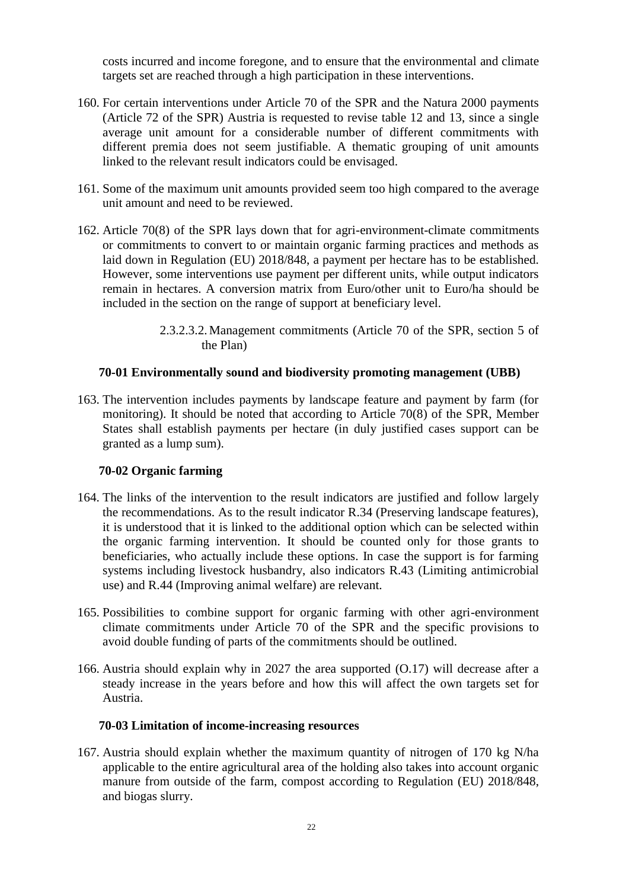costs incurred and income foregone, and to ensure that the environmental and climate targets set are reached through a high participation in these interventions.

- 160. For certain interventions under Article 70 of the SPR and the Natura 2000 payments (Article 72 of the SPR) Austria is requested to revise table 12 and 13, since a single average unit amount for a considerable number of different commitments with different premia does not seem justifiable. A thematic grouping of unit amounts linked to the relevant result indicators could be envisaged.
- 161. Some of the maximum unit amounts provided seem too high compared to the average unit amount and need to be reviewed.
- 162. Article 70(8) of the SPR lays down that for agri-environment-climate commitments or commitments to convert to or maintain organic farming practices and methods as laid down in Regulation (EU) 2018/848, a payment per hectare has to be established. However, some interventions use payment per different units, while output indicators remain in hectares. A conversion matrix from Euro/other unit to Euro/ha should be included in the section on the range of support at beneficiary level.
	- 2.3.2.3.2.Management commitments (Article 70 of the SPR, section 5 of the Plan)

#### **70-01 Environmentally sound and biodiversity promoting management (UBB)**

163. The intervention includes payments by landscape feature and payment by farm (for monitoring). It should be noted that according to Article 70(8) of the SPR, Member States shall establish payments per hectare (in duly justified cases support can be granted as a lump sum).

#### **70-02 Organic farming**

- 164. The links of the intervention to the result indicators are justified and follow largely the recommendations. As to the result indicator R.34 (Preserving landscape features), it is understood that it is linked to the additional option which can be selected within the organic farming intervention. It should be counted only for those grants to beneficiaries, who actually include these options. In case the support is for farming systems including livestock husbandry, also indicators R.43 (Limiting antimicrobial use) and R.44 (Improving animal welfare) are relevant.
- 165. Possibilities to combine support for organic farming with other agri-environment climate commitments under Article 70 of the SPR and the specific provisions to avoid double funding of parts of the commitments should be outlined.
- 166. Austria should explain why in 2027 the area supported (O.17) will decrease after a steady increase in the years before and how this will affect the own targets set for Austria.

#### **70-03 Limitation of income-increasing resources**

167. Austria should explain whether the maximum quantity of nitrogen of 170 kg N/ha applicable to the entire agricultural area of the holding also takes into account organic manure from outside of the farm, compost according to Regulation (EU) 2018/848, and biogas slurry.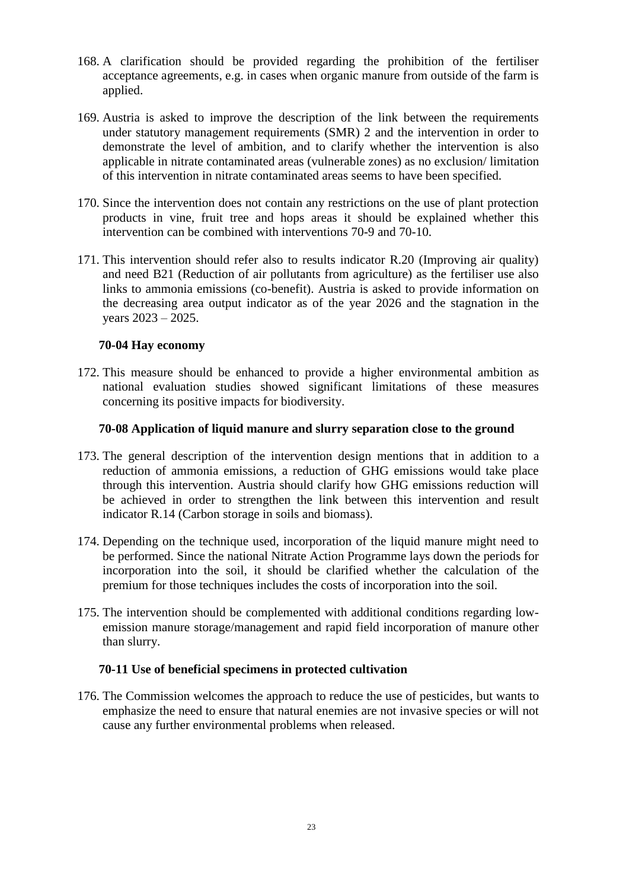- 168. A clarification should be provided regarding the prohibition of the fertiliser acceptance agreements, e.g. in cases when organic manure from outside of the farm is applied.
- 169. Austria is asked to improve the description of the link between the requirements under statutory management requirements (SMR) 2 and the intervention in order to demonstrate the level of ambition, and to clarify whether the intervention is also applicable in nitrate contaminated areas (vulnerable zones) as no exclusion/ limitation of this intervention in nitrate contaminated areas seems to have been specified.
- 170. Since the intervention does not contain any restrictions on the use of plant protection products in vine, fruit tree and hops areas it should be explained whether this intervention can be combined with interventions 70-9 and 70-10.
- 171. This intervention should refer also to results indicator R.20 (Improving air quality) and need B21 (Reduction of air pollutants from agriculture) as the fertiliser use also links to ammonia emissions (co-benefit). Austria is asked to provide information on the decreasing area output indicator as of the year 2026 and the stagnation in the years 2023 – 2025.

# **70-04 Hay economy**

172. This measure should be enhanced to provide a higher environmental ambition as national evaluation studies showed significant limitations of these measures concerning its positive impacts for biodiversity.

# **70-08 Application of liquid manure and slurry separation close to the ground**

- 173. The general description of the intervention design mentions that in addition to a reduction of ammonia emissions, a reduction of GHG emissions would take place through this intervention. Austria should clarify how GHG emissions reduction will be achieved in order to strengthen the link between this intervention and result indicator R.14 (Carbon storage in soils and biomass).
- 174. Depending on the technique used, incorporation of the liquid manure might need to be performed. Since the national Nitrate Action Programme lays down the periods for incorporation into the soil, it should be clarified whether the calculation of the premium for those techniques includes the costs of incorporation into the soil.
- 175. The intervention should be complemented with additional conditions regarding lowemission manure storage/management and rapid field incorporation of manure other than slurry.

#### **70-11 Use of beneficial specimens in protected cultivation**

176. The Commission welcomes the approach to reduce the use of pesticides, but wants to emphasize the need to ensure that natural enemies are not invasive species or will not cause any further environmental problems when released.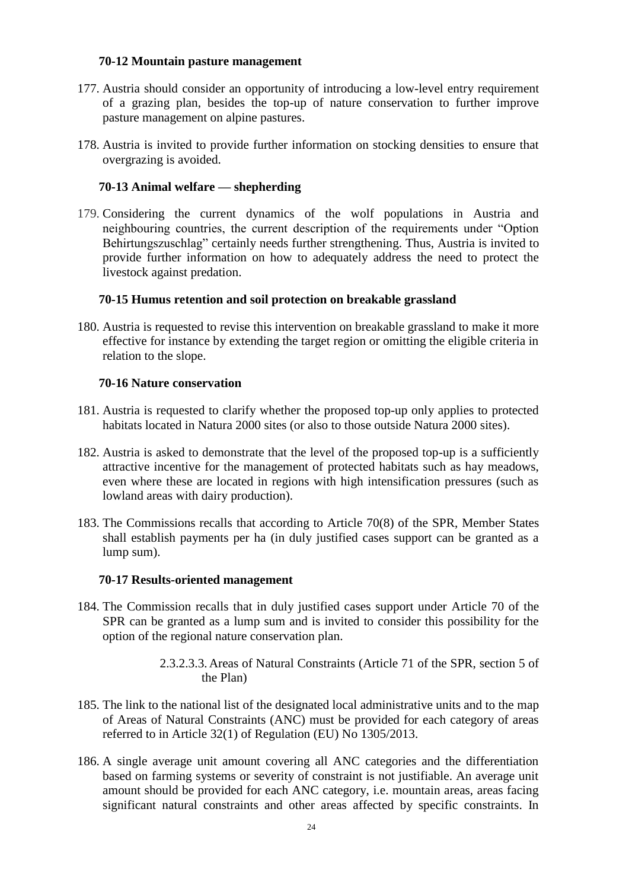### **70-12 Mountain pasture management**

- 177. Austria should consider an opportunity of introducing a low-level entry requirement of a grazing plan, besides the top-up of nature conservation to further improve pasture management on alpine pastures.
- 178. Austria is invited to provide further information on stocking densities to ensure that overgrazing is avoided.

# **70-13 Animal welfare — shepherding**

179. Considering the current dynamics of the wolf populations in Austria and neighbouring countries, the current description of the requirements under "Option Behirtungszuschlag" certainly needs further strengthening. Thus, Austria is invited to provide further information on how to adequately address the need to protect the livestock against predation.

# **70-15 Humus retention and soil protection on breakable grassland**

180. Austria is requested to revise this intervention on breakable grassland to make it more effective for instance by extending the target region or omitting the eligible criteria in relation to the slope.

#### **70-16 Nature conservation**

- 181. Austria is requested to clarify whether the proposed top-up only applies to protected habitats located in Natura 2000 sites (or also to those outside Natura 2000 sites).
- 182. Austria is asked to demonstrate that the level of the proposed top-up is a sufficiently attractive incentive for the management of protected habitats such as hay meadows, even where these are located in regions with high intensification pressures (such as lowland areas with dairy production).
- 183. The Commissions recalls that according to Article 70(8) of the SPR, Member States shall establish payments per ha (in duly justified cases support can be granted as a lump sum).

#### **70-17 Results-oriented management**

- 184. The Commission recalls that in duly justified cases support under Article 70 of the SPR can be granted as a lump sum and is invited to consider this possibility for the option of the regional nature conservation plan.
	- 2.3.2.3.3.Areas of Natural Constraints (Article 71 of the SPR, section 5 of the Plan)
- 185. The link to the national list of the designated local administrative units and to the map of Areas of Natural Constraints (ANC) must be provided for each category of areas referred to in Article 32(1) of Regulation (EU) No 1305/2013.
- 186. A single average unit amount covering all ANC categories and the differentiation based on farming systems or severity of constraint is not justifiable. An average unit amount should be provided for each ANC category, i.e. mountain areas, areas facing significant natural constraints and other areas affected by specific constraints. In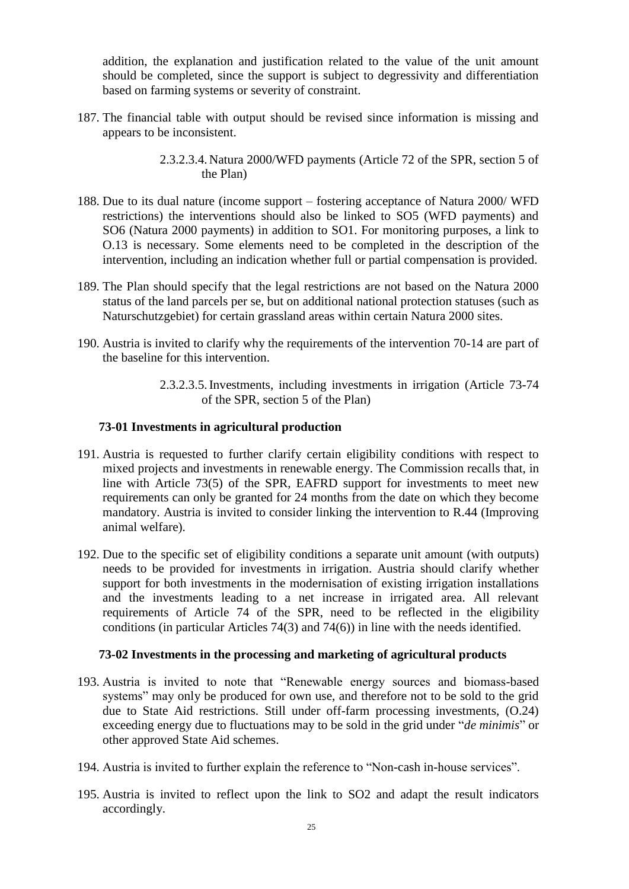addition, the explanation and justification related to the value of the unit amount should be completed, since the support is subject to degressivity and differentiation based on farming systems or severity of constraint.

- 187. The financial table with output should be revised since information is missing and appears to be inconsistent.
	- 2.3.2.3.4.Natura 2000/WFD payments (Article 72 of the SPR, section 5 of the Plan)
- 188. Due to its dual nature (income support fostering acceptance of Natura 2000/ WFD restrictions) the interventions should also be linked to SO5 (WFD payments) and SO6 (Natura 2000 payments) in addition to SO1. For monitoring purposes, a link to O.13 is necessary. Some elements need to be completed in the description of the intervention, including an indication whether full or partial compensation is provided.
- 189. The Plan should specify that the legal restrictions are not based on the Natura 2000 status of the land parcels per se, but on additional national protection statuses (such as Naturschutzgebiet) for certain grassland areas within certain Natura 2000 sites.
- 190. Austria is invited to clarify why the requirements of the intervention 70-14 are part of the baseline for this intervention.
	- 2.3.2.3.5.Investments, including investments in irrigation (Article 73-74 of the SPR, section 5 of the Plan)

#### **73-01 Investments in agricultural production**

- 191. Austria is requested to further clarify certain eligibility conditions with respect to mixed projects and investments in renewable energy. The Commission recalls that, in line with Article 73(5) of the SPR, EAFRD support for investments to meet new requirements can only be granted for 24 months from the date on which they become mandatory. Austria is invited to consider linking the intervention to R.44 (Improving animal welfare).
- 192. Due to the specific set of eligibility conditions a separate unit amount (with outputs) needs to be provided for investments in irrigation. Austria should clarify whether support for both investments in the modernisation of existing irrigation installations and the investments leading to a net increase in irrigated area. All relevant requirements of Article 74 of the SPR, need to be reflected in the eligibility conditions (in particular Articles 74(3) and 74(6)) in line with the needs identified.

#### **73-02 Investments in the processing and marketing of agricultural products**

- 193. Austria is invited to note that "Renewable energy sources and biomass-based systems" may only be produced for own use, and therefore not to be sold to the grid due to State Aid restrictions. Still under off-farm processing investments, (O.24) exceeding energy due to fluctuations may to be sold in the grid under "*de minimis*" or other approved State Aid schemes.
- 194. Austria is invited to further explain the reference to "Non-cash in-house services".
- 195. Austria is invited to reflect upon the link to SO2 and adapt the result indicators accordingly.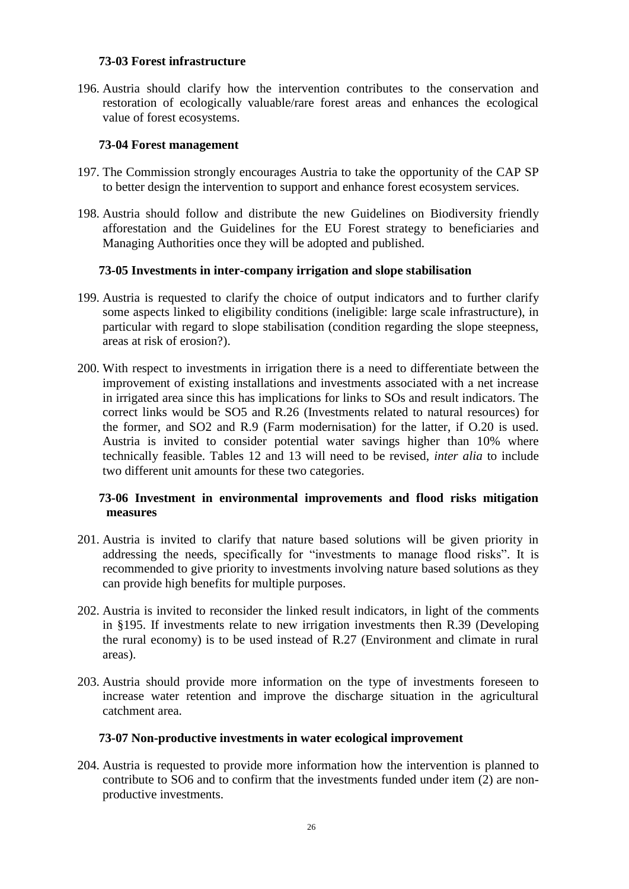# **73-03 Forest infrastructure**

196. Austria should clarify how the intervention contributes to the conservation and restoration of ecologically valuable/rare forest areas and enhances the ecological value of forest ecosystems.

# **73-04 Forest management**

- 197. The Commission strongly encourages Austria to take the opportunity of the CAP SP to better design the intervention to support and enhance forest ecosystem services.
- 198. Austria should follow and distribute the new Guidelines on Biodiversity friendly afforestation and the Guidelines for the EU Forest strategy to beneficiaries and Managing Authorities once they will be adopted and published.

# **73-05 Investments in inter-company irrigation and slope stabilisation**

- 199. Austria is requested to clarify the choice of output indicators and to further clarify some aspects linked to eligibility conditions (ineligible: large scale infrastructure), in particular with regard to slope stabilisation (condition regarding the slope steepness, areas at risk of erosion?).
- 200. With respect to investments in irrigation there is a need to differentiate between the improvement of existing installations and investments associated with a net increase in irrigated area since this has implications for links to SOs and result indicators. The correct links would be SO5 and R.26 (Investments related to natural resources) for the former, and SO2 and R.9 (Farm modernisation) for the latter, if O.20 is used. Austria is invited to consider potential water savings higher than 10% where technically feasible. Tables 12 and 13 will need to be revised, *inter alia* to include two different unit amounts for these two categories.

# **73-06 Investment in environmental improvements and flood risks mitigation measures**

- 201. Austria is invited to clarify that nature based solutions will be given priority in addressing the needs, specifically for "investments to manage flood risks". It is recommended to give priority to investments involving nature based solutions as they can provide high benefits for multiple purposes.
- 202. Austria is invited to reconsider the linked result indicators, in light of the comments in §195. If investments relate to new irrigation investments then R.39 (Developing the rural economy) is to be used instead of R.27 (Environment and climate in rural areas).
- 203. Austria should provide more information on the type of investments foreseen to increase water retention and improve the discharge situation in the agricultural catchment area.

#### **73-07 Non-productive investments in water ecological improvement**

204. Austria is requested to provide more information how the intervention is planned to contribute to SO6 and to confirm that the investments funded under item (2) are nonproductive investments.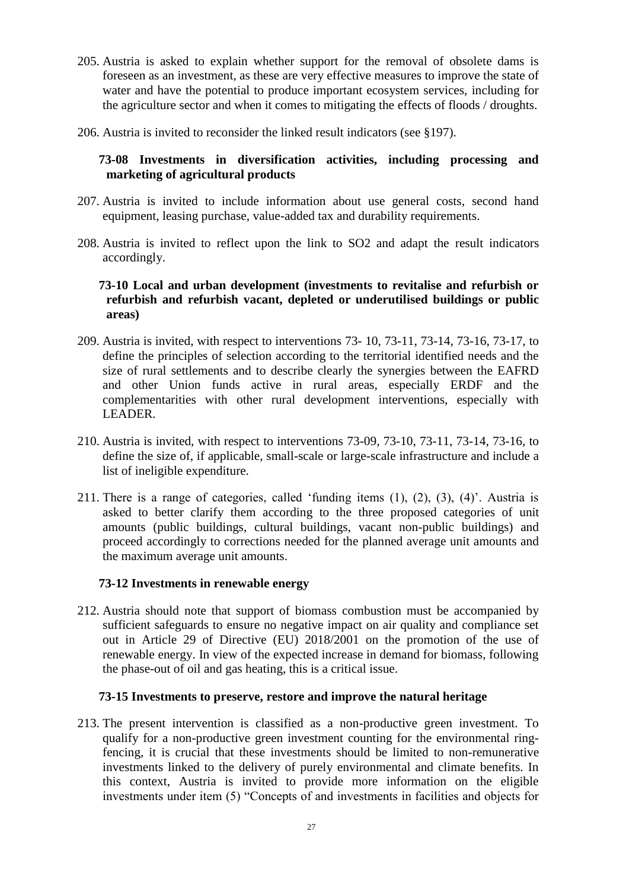- 205. Austria is asked to explain whether support for the removal of obsolete dams is foreseen as an investment, as these are very effective measures to improve the state of water and have the potential to produce important ecosystem services, including for the agriculture sector and when it comes to mitigating the effects of floods / droughts.
- 206. Austria is invited to reconsider the linked result indicators (see §197).

# **73-08 Investments in diversification activities, including processing and marketing of agricultural products**

- 207. Austria is invited to include information about use general costs, second hand equipment, leasing purchase, value-added tax and durability requirements.
- 208. Austria is invited to reflect upon the link to SO2 and adapt the result indicators accordingly.

# **73-10 Local and urban development (investments to revitalise and refurbish or refurbish and refurbish vacant, depleted or underutilised buildings or public areas)**

- 209. Austria is invited, with respect to interventions 73- 10, 73-11, 73-14, 73-16, 73-17, to define the principles of selection according to the territorial identified needs and the size of rural settlements and to describe clearly the synergies between the EAFRD and other Union funds active in rural areas, especially ERDF and the complementarities with other rural development interventions, especially with LEADER.
- 210. Austria is invited, with respect to interventions 73-09, 73-10, 73-11, 73-14, 73-16, to define the size of, if applicable, small-scale or large-scale infrastructure and include a list of ineligible expenditure.
- 211. There is a range of categories, called 'funding items (1), (2), (3), (4)'. Austria is asked to better clarify them according to the three proposed categories of unit amounts (public buildings, cultural buildings, vacant non-public buildings) and proceed accordingly to corrections needed for the planned average unit amounts and the maximum average unit amounts.

### **73-12 Investments in renewable energy**

212. Austria should note that support of biomass combustion must be accompanied by sufficient safeguards to ensure no negative impact on air quality and compliance set out in Article 29 of Directive (EU) 2018/2001 on the promotion of the use of renewable energy. In view of the expected increase in demand for biomass, following the phase-out of oil and gas heating, this is a critical issue.

#### **73-15 Investments to preserve, restore and improve the natural heritage**

213. The present intervention is classified as a non-productive green investment. To qualify for a non-productive green investment counting for the environmental ringfencing, it is crucial that these investments should be limited to non-remunerative investments linked to the delivery of purely environmental and climate benefits. In this context, Austria is invited to provide more information on the eligible investments under item (5) "Concepts of and investments in facilities and objects for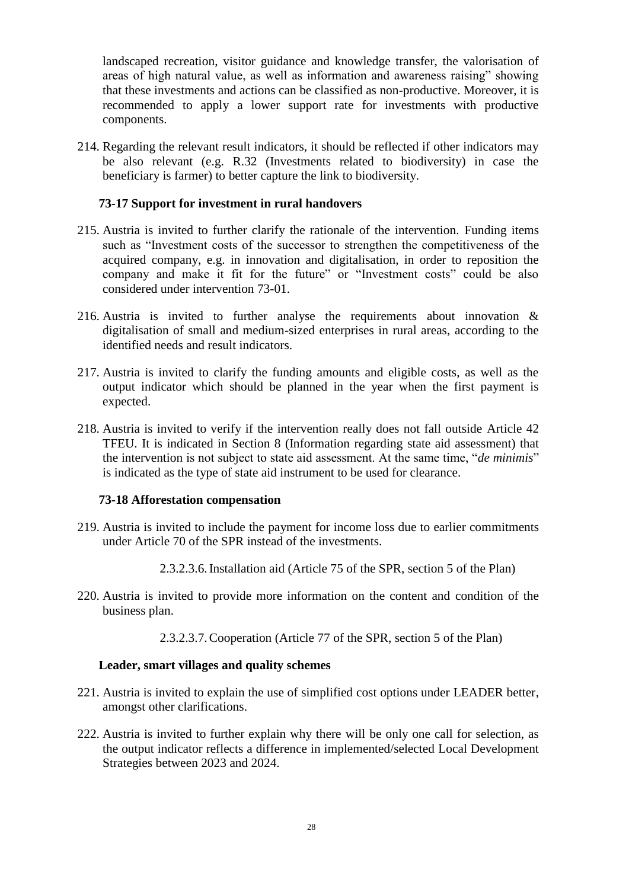landscaped recreation, visitor guidance and knowledge transfer, the valorisation of areas of high natural value, as well as information and awareness raising" showing that these investments and actions can be classified as non-productive. Moreover, it is recommended to apply a lower support rate for investments with productive components.

214. Regarding the relevant result indicators, it should be reflected if other indicators may be also relevant (e.g. R.32 (Investments related to biodiversity) in case the beneficiary is farmer) to better capture the link to biodiversity.

#### **73-17 Support for investment in rural handovers**

- 215. Austria is invited to further clarify the rationale of the intervention. Funding items such as "Investment costs of the successor to strengthen the competitiveness of the acquired company, e.g. in innovation and digitalisation, in order to reposition the company and make it fit for the future" or "Investment costs" could be also considered under intervention 73-01.
- 216. Austria is invited to further analyse the requirements about innovation & digitalisation of small and medium-sized enterprises in rural areas, according to the identified needs and result indicators.
- 217. Austria is invited to clarify the funding amounts and eligible costs, as well as the output indicator which should be planned in the year when the first payment is expected.
- 218. Austria is invited to verify if the intervention really does not fall outside Article 42 TFEU. It is indicated in Section 8 (Information regarding state aid assessment) that the intervention is not subject to state aid assessment. At the same time, "*de minimis*" is indicated as the type of state aid instrument to be used for clearance.

#### **73-18 Afforestation compensation**

- 219. Austria is invited to include the payment for income loss due to earlier commitments under Article 70 of the SPR instead of the investments.
	- 2.3.2.3.6.Installation aid (Article 75 of the SPR, section 5 of the Plan)
- 220. Austria is invited to provide more information on the content and condition of the business plan.
	- 2.3.2.3.7.Cooperation (Article 77 of the SPR, section 5 of the Plan)

#### **Leader, smart villages and quality schemes**

- 221. Austria is invited to explain the use of simplified cost options under LEADER better, amongst other clarifications.
- 222. Austria is invited to further explain why there will be only one call for selection, as the output indicator reflects a difference in implemented/selected Local Development Strategies between 2023 and 2024.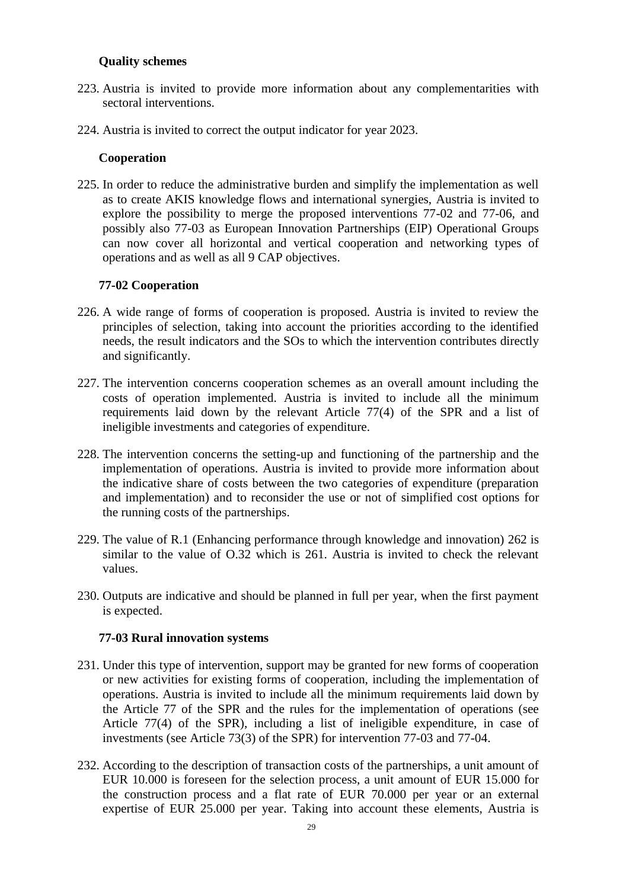# **Quality schemes**

- 223. Austria is invited to provide more information about any complementarities with sectoral interventions.
- 224. Austria is invited to correct the output indicator for year 2023.

#### **Cooperation**

225. In order to reduce the administrative burden and simplify the implementation as well as to create AKIS knowledge flows and international synergies, Austria is invited to explore the possibility to merge the proposed interventions 77-02 and 77-06, and possibly also 77-03 as European Innovation Partnerships (EIP) Operational Groups can now cover all horizontal and vertical cooperation and networking types of operations and as well as all 9 CAP objectives.

# **77-02 Cooperation**

- 226. A wide range of forms of cooperation is proposed. Austria is invited to review the principles of selection, taking into account the priorities according to the identified needs, the result indicators and the SOs to which the intervention contributes directly and significantly.
- 227. The intervention concerns cooperation schemes as an overall amount including the costs of operation implemented. Austria is invited to include all the minimum requirements laid down by the relevant Article 77(4) of the SPR and a list of ineligible investments and categories of expenditure.
- 228. The intervention concerns the setting-up and functioning of the partnership and the implementation of operations. Austria is invited to provide more information about the indicative share of costs between the two categories of expenditure (preparation and implementation) and to reconsider the use or not of simplified cost options for the running costs of the partnerships.
- 229. The value of R.1 (Enhancing performance through knowledge and innovation) 262 is similar to the value of O.32 which is 261. Austria is invited to check the relevant values.
- 230. Outputs are indicative and should be planned in full per year, when the first payment is expected.

#### **77-03 Rural innovation systems**

- 231. Under this type of intervention, support may be granted for new forms of cooperation or new activities for existing forms of cooperation, including the implementation of operations. Austria is invited to include all the minimum requirements laid down by the Article 77 of the SPR and the rules for the implementation of operations (see Article 77(4) of the SPR), including a list of ineligible expenditure, in case of investments (see Article 73(3) of the SPR) for intervention 77-03 and 77-04.
- 232. According to the description of transaction costs of the partnerships, a unit amount of EUR 10.000 is foreseen for the selection process, a unit amount of EUR 15.000 for the construction process and a flat rate of EUR 70.000 per year or an external expertise of EUR 25.000 per year. Taking into account these elements, Austria is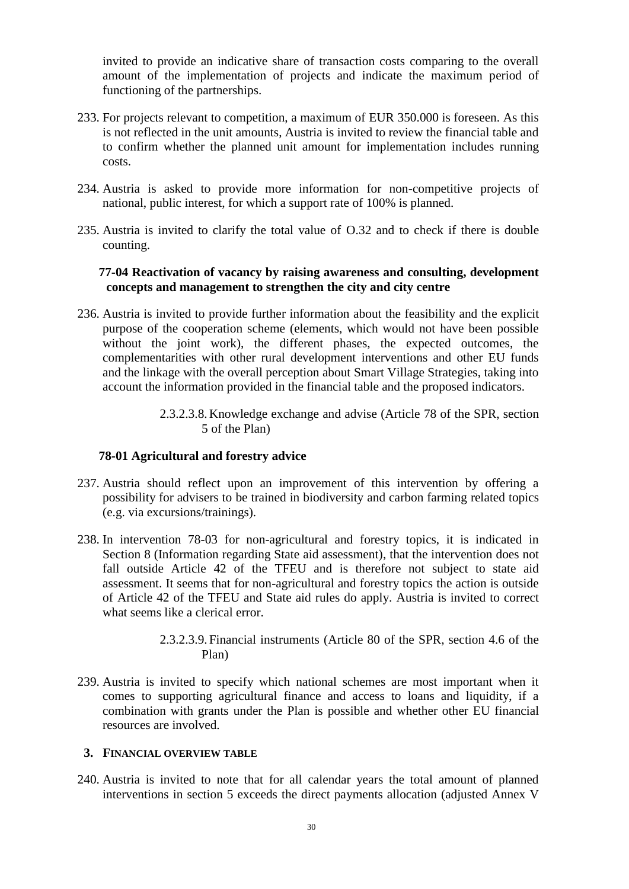invited to provide an indicative share of transaction costs comparing to the overall amount of the implementation of projects and indicate the maximum period of functioning of the partnerships.

- 233. For projects relevant to competition, a maximum of EUR 350.000 is foreseen. As this is not reflected in the unit amounts, Austria is invited to review the financial table and to confirm whether the planned unit amount for implementation includes running costs.
- 234. Austria is asked to provide more information for non-competitive projects of national, public interest, for which a support rate of 100% is planned.
- 235. Austria is invited to clarify the total value of O.32 and to check if there is double counting.

# **77-04 Reactivation of vacancy by raising awareness and consulting, development concepts and management to strengthen the city and city centre**

- 236. Austria is invited to provide further information about the feasibility and the explicit purpose of the cooperation scheme (elements, which would not have been possible without the joint work), the different phases, the expected outcomes, the complementarities with other rural development interventions and other EU funds and the linkage with the overall perception about Smart Village Strategies, taking into account the information provided in the financial table and the proposed indicators.
	- 2.3.2.3.8.Knowledge exchange and advise (Article 78 of the SPR, section 5 of the Plan)

# **78-01 Agricultural and forestry advice**

- 237. Austria should reflect upon an improvement of this intervention by offering a possibility for advisers to be trained in biodiversity and carbon farming related topics (e.g. via excursions/trainings).
- 238. In intervention 78-03 for non-agricultural and forestry topics, it is indicated in Section 8 (Information regarding State aid assessment), that the intervention does not fall outside Article 42 of the TFEU and is therefore not subject to state aid assessment. It seems that for non-agricultural and forestry topics the action is outside of Article 42 of the TFEU and State aid rules do apply. Austria is invited to correct what seems like a clerical error.
	- 2.3.2.3.9. Financial instruments (Article 80 of the SPR, section 4.6 of the Plan)
- 239. Austria is invited to specify which national schemes are most important when it comes to supporting agricultural finance and access to loans and liquidity, if a combination with grants under the Plan is possible and whether other EU financial resources are involved.

#### **3. FINANCIAL OVERVIEW TABLE**

240. Austria is invited to note that for all calendar years the total amount of planned interventions in section 5 exceeds the direct payments allocation (adjusted Annex V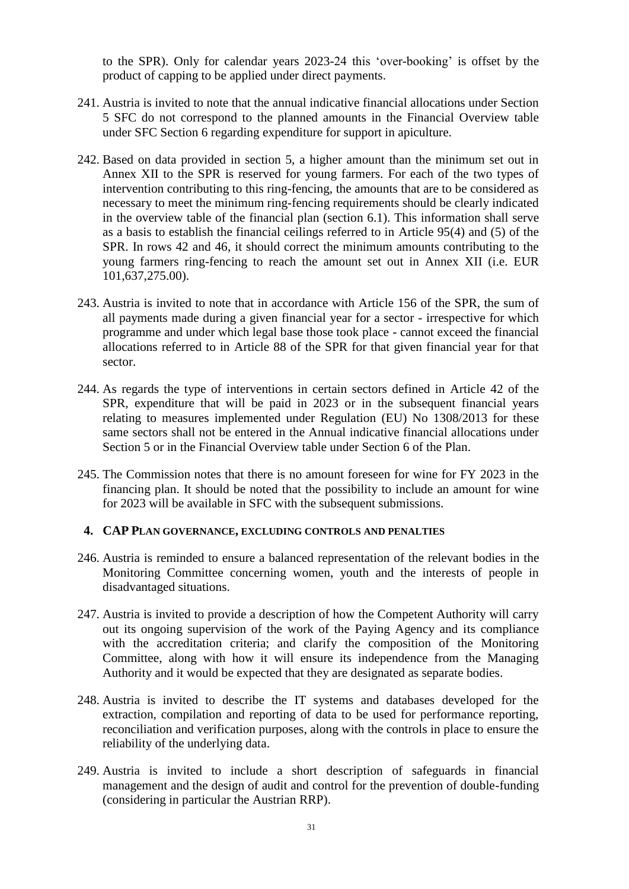to the SPR). Only for calendar years 2023-24 this 'over-booking' is offset by the product of capping to be applied under direct payments.

- 241. Austria is invited to note that the annual indicative financial allocations under Section 5 SFC do not correspond to the planned amounts in the Financial Overview table under SFC Section 6 regarding expenditure for support in apiculture.
- 242. Based on data provided in section 5, a higher amount than the minimum set out in Annex XII to the SPR is reserved for young farmers. For each of the two types of intervention contributing to this ring-fencing, the amounts that are to be considered as necessary to meet the minimum ring-fencing requirements should be clearly indicated in the overview table of the financial plan (section 6.1). This information shall serve as a basis to establish the financial ceilings referred to in Article 95(4) and (5) of the SPR. In rows 42 and 46, it should correct the minimum amounts contributing to the young farmers ring-fencing to reach the amount set out in Annex XII (i.e. EUR 101,637,275.00).
- 243. Austria is invited to note that in accordance with Article 156 of the SPR, the sum of all payments made during a given financial year for a sector - irrespective for which programme and under which legal base those took place - cannot exceed the financial allocations referred to in Article 88 of the SPR for that given financial year for that sector.
- 244. As regards the type of interventions in certain sectors defined in Article 42 of the SPR, expenditure that will be paid in 2023 or in the subsequent financial years relating to measures implemented under Regulation (EU) No 1308/2013 for these same sectors shall not be entered in the Annual indicative financial allocations under Section 5 or in the Financial Overview table under Section 6 of the Plan.
- 245. The Commission notes that there is no amount foreseen for wine for FY 2023 in the financing plan. It should be noted that the possibility to include an amount for wine for 2023 will be available in SFC with the subsequent submissions.

#### **4. CAP PLAN GOVERNANCE, EXCLUDING CONTROLS AND PENALTIES**

- 246. Austria is reminded to ensure a balanced representation of the relevant bodies in the Monitoring Committee concerning women, youth and the interests of people in disadvantaged situations.
- 247. Austria is invited to provide a description of how the Competent Authority will carry out its ongoing supervision of the work of the Paying Agency and its compliance with the accreditation criteria; and clarify the composition of the Monitoring Committee, along with how it will ensure its independence from the Managing Authority and it would be expected that they are designated as separate bodies.
- 248. Austria is invited to describe the IT systems and databases developed for the extraction, compilation and reporting of data to be used for performance reporting, reconciliation and verification purposes, along with the controls in place to ensure the reliability of the underlying data.
- 249. Austria is invited to include a short description of safeguards in financial management and the design of audit and control for the prevention of double-funding (considering in particular the Austrian RRP).